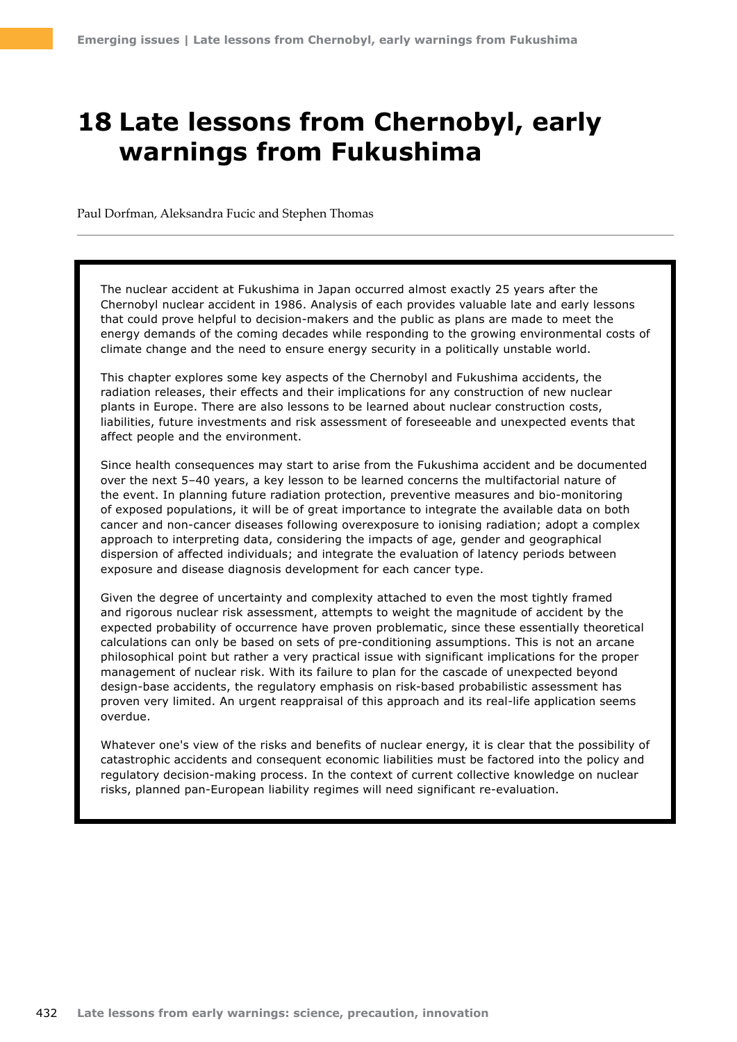# **18 Late lessons from Chernobyl, early warnings from Fukushima**

Paul Dorfman, Aleksandra Fucic and Stephen Thomas

The nuclear accident at Fukushima in Japan occurred almost exactly 25 years after the Chernobyl nuclear accident in 1986. Analysis of each provides valuable late and early lessons that could prove helpful to decision-makers and the public as plans are made to meet the energy demands of the coming decades while responding to the growing environmental costs of climate change and the need to ensure energy security in a politically unstable world.

This chapter explores some key aspects of the Chernobyl and Fukushima accidents, the radiation releases, their effects and their implications for any construction of new nuclear plants in Europe. There are also lessons to be learned about nuclear construction costs, liabilities, future investments and risk assessment of foreseeable and unexpected events that affect people and the environment.

Since health consequences may start to arise from the Fukushima accident and be documented over the next 5–40 years, a key lesson to be learned concerns the multifactorial nature of the event. In planning future radiation protection, preventive measures and bio-monitoring of exposed populations, it will be of great importance to integrate the available data on both cancer and non-cancer diseases following overexposure to ionising radiation; adopt a complex approach to interpreting data, considering the impacts of age, gender and geographical dispersion of affected individuals; and integrate the evaluation of latency periods between exposure and disease diagnosis development for each cancer type.

Given the degree of uncertainty and complexity attached to even the most tightly framed and rigorous nuclear risk assessment, attempts to weight the magnitude of accident by the expected probability of occurrence have proven problematic, since these essentially theoretical calculations can only be based on sets of pre-conditioning assumptions. This is not an arcane philosophical point but rather a very practical issue with significant implications for the proper management of nuclear risk. With its failure to plan for the cascade of unexpected beyond design-base accidents, the regulatory emphasis on risk-based probabilistic assessment has proven very limited. An urgent reappraisal of this approach and its real-life application seems overdue.

Whatever one's view of the risks and benefits of nuclear energy, it is clear that the possibility of catastrophic accidents and consequent economic liabilities must be factored into the policy and regulatory decision-making process. In the context of current collective knowledge on nuclear risks, planned pan-European liability regimes will need significant re-evaluation.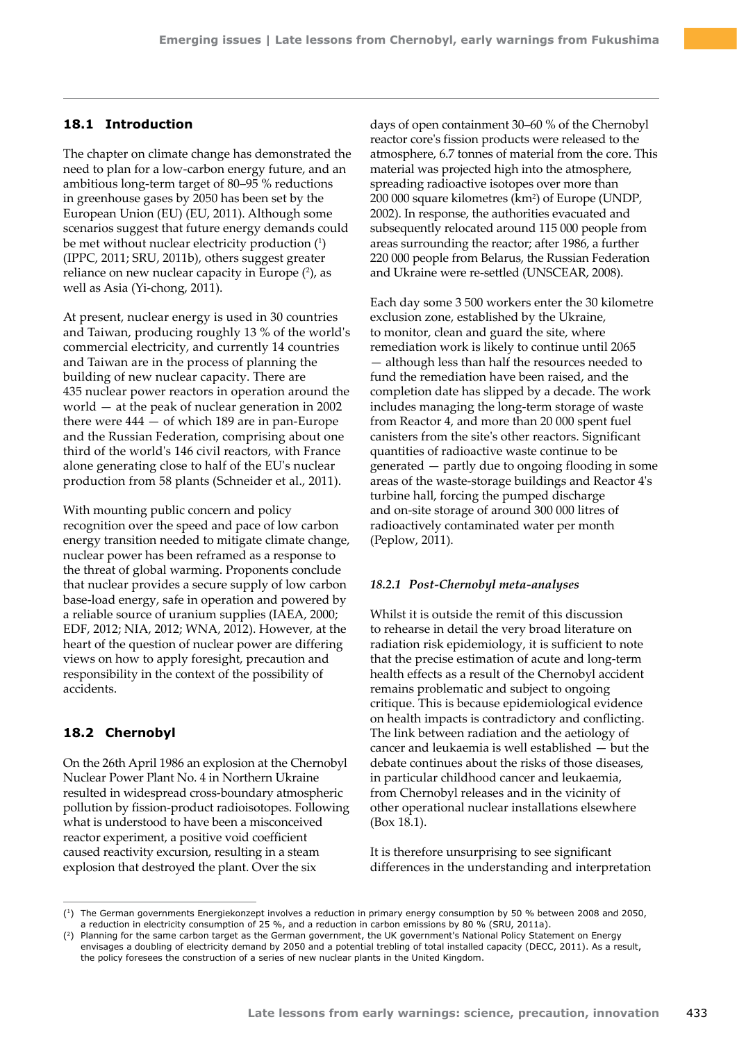# **18.1 Introduction**

The chapter on climate change has demonstrated the need to plan for a low-carbon energy future, and an ambitious long-term target of 80–95 % reductions in greenhouse gases by 2050 has been set by the European Union (EU) (EU, 2011). Although some scenarios suggest that future energy demands could be met without nuclear electricity production  $(1)$ (IPPC, 2011; SRU, 2011b), others suggest greater reliance on new nuclear capacity in Europe  $(2)$ , as well as Asia (Yi-chong, 2011).

At present, nuclear energy is used in 30 countries and Taiwan, producing roughly 13 % of the world's commercial electricity, and currently 14 countries and Taiwan are in the process of planning the building of new nuclear capacity. There are 435 nuclear power reactors in operation around the world — at the peak of nuclear generation in 2002 there were 444 — of which 189 are in pan-Europe and the Russian Federation, comprising about one third of the world's 146 civil reactors, with France alone generating close to half of the EU's nuclear production from 58 plants (Schneider et al., 2011).

With mounting public concern and policy recognition over the speed and pace of low carbon energy transition needed to mitigate climate change, nuclear power has been reframed as a response to the threat of global warming. Proponents conclude that nuclear provides a secure supply of low carbon base-load energy, safe in operation and powered by a reliable source of uranium supplies (IAEA, 2000; EDF, 2012; NIA, 2012; WNA, 2012). However, at the heart of the question of nuclear power are differing views on how to apply foresight, precaution and responsibility in the context of the possibility of accidents.

## **18.2 Chernobyl**

On the 26th April 1986 an explosion at the Chernobyl Nuclear Power Plant No. 4 in Northern Ukraine resulted in widespread cross-boundary atmospheric pollution by fission-product radioisotopes. Following what is understood to have been a misconceived reactor experiment, a positive void coefficient caused reactivity excursion, resulting in a steam explosion that destroyed the plant. Over the six

days of open containment 30–60 % of the Chernobyl reactor core's fission products were released to the atmosphere, 6.7 tonnes of material from the core. This material was projected high into the atmosphere, spreading radioactive isotopes over more than 200 000 square kilometres (km<sup>2</sup>) of Europe (UNDP, 2002). In response, the authorities evacuated and subsequently relocated around 115 000 people from areas surrounding the reactor; after 1986, a further 220 000 people from Belarus, the Russian Federation and Ukraine were re-settled (UNSCEAR, 2008).

Each day some 3 500 workers enter the 30 kilometre exclusion zone, established by the Ukraine, to monitor, clean and guard the site, where remediation work is likely to continue until 2065 — although less than half the resources needed to fund the remediation have been raised, and the completion date has slipped by a decade. The work includes managing the long-term storage of waste from Reactor 4, and more than 20 000 spent fuel canisters from the site's other reactors. Significant quantities of radioactive waste continue to be generated — partly due to ongoing flooding in some areas of the waste-storage buildings and Reactor 4's turbine hall, forcing the pumped discharge and on-site storage of around 300 000 litres of radioactively contaminated water per month (Peplow, 2011).

#### *18.2.1 Post-Chernobyl meta-analyses*

Whilst it is outside the remit of this discussion to rehearse in detail the very broad literature on radiation risk epidemiology, it is sufficient to note that the precise estimation of acute and long-term health effects as a result of the Chernobyl accident remains problematic and subject to ongoing critique. This is because epidemiological evidence on health impacts is contradictory and conflicting. The link between radiation and the aetiology of cancer and leukaemia is well established — but the debate continues about the risks of those diseases, in particular childhood cancer and leukaemia, from Chernobyl releases and in the vicinity of other operational nuclear installations elsewhere (Box 18.1).

It is therefore unsurprising to see significant differences in the understanding and interpretation

<sup>(1)</sup> The German governments Energiekonzept involves a reduction in primary energy consumption by 50 % between 2008 and 2050, a reduction in electricity consumption of 25 %, and a reduction in carbon emissions by 80 % (SRU, 2011a).

<sup>(2)</sup> Planning for the same carbon target as the German government, the UK government's National Policy Statement on Energy envisages a doubling of electricity demand by 2050 and a potential trebling of total installed capacity (DECC, 2011). As a result, the policy foresees the construction of a series of new nuclear plants in the United Kingdom.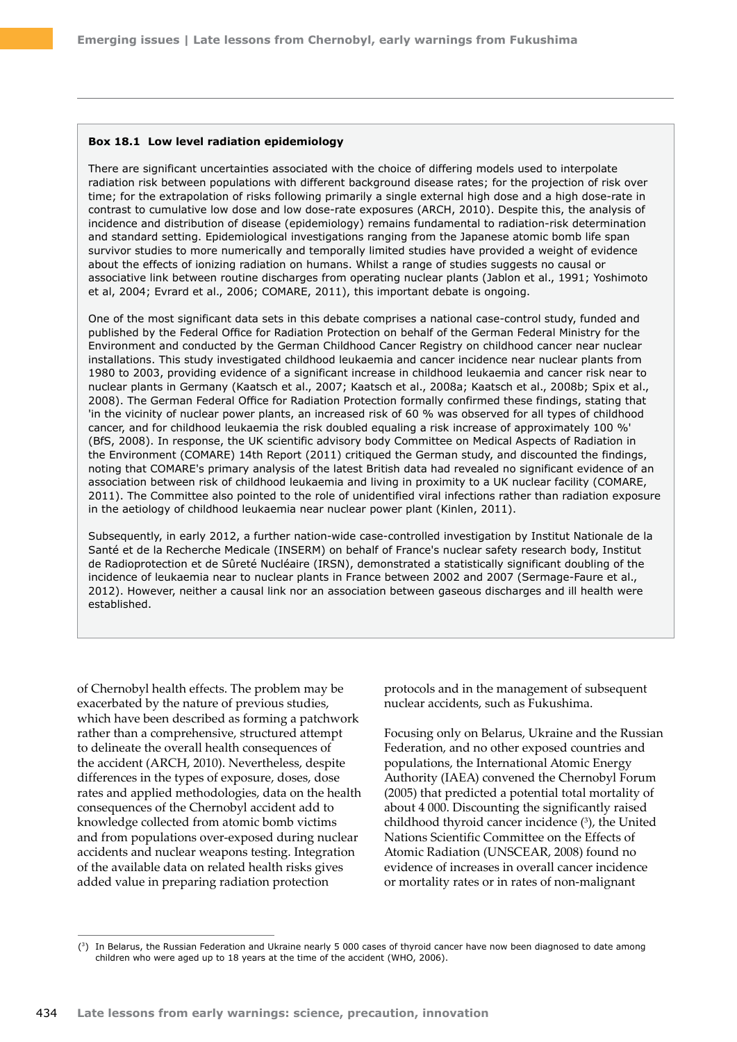#### **Box 18.1 Low level radiation epidemiology**

There are significant uncertainties associated with the choice of differing models used to interpolate radiation risk between populations with different background disease rates; for the projection of risk over time; for the extrapolation of risks following primarily a single external high dose and a high dose-rate in contrast to cumulative low dose and low dose-rate exposures (ARCH, 2010). Despite this, the analysis of incidence and distribution of disease (epidemiology) remains fundamental to radiation-risk determination and standard setting. Epidemiological investigations ranging from the Japanese atomic bomb life span survivor studies to more numerically and temporally limited studies have provided a weight of evidence about the effects of ionizing radiation on humans. Whilst a range of studies suggests no causal or associative link between routine discharges from operating nuclear plants (Jablon et al., 1991; Yoshimoto et al, 2004; Evrard et al., 2006; COMARE, 2011), this important debate is ongoing.

One of the most significant data sets in this debate comprises a national case-control study, funded and published by the Federal Office for Radiation Protection on behalf of the German Federal Ministry for the Environment and conducted by the German Childhood Cancer Registry on childhood cancer near nuclear installations. This study investigated childhood leukaemia and cancer incidence near nuclear plants from 1980 to 2003, providing evidence of a significant increase in childhood leukaemia and cancer risk near to nuclear plants in Germany (Kaatsch et al., 2007; Kaatsch et al., 2008a; Kaatsch et al., 2008b; Spix et al., 2008). The German Federal Office for Radiation Protection formally confirmed these findings, stating that 'in the vicinity of nuclear power plants, an increased risk of 60 % was observed for all types of childhood cancer, and for childhood leukaemia the risk doubled equaling a risk increase of approximately 100 %' (BfS, 2008). In response, the UK scientific advisory body Committee on Medical Aspects of Radiation in the Environment (COMARE) 14th Report (2011) critiqued the German study, and discounted the findings, noting that COMARE's primary analysis of the latest British data had revealed no significant evidence of an association between risk of childhood leukaemia and living in proximity to a UK nuclear facility (COMARE, 2011). The Committee also pointed to the role of unidentified viral infections rather than radiation exposure in the aetiology of childhood leukaemia near nuclear power plant (Kinlen, 2011).

Subsequently, in early 2012, a further nation-wide case-controlled investigation by Institut Nationale de la Santé et de la Recherche Medicale (INSERM) on behalf of France's nuclear safety research body, Institut de Radioprotection et de Sûreté Nucléaire (IRSN), demonstrated a statistically significant doubling of the incidence of leukaemia near to nuclear plants in France between 2002 and 2007 (Sermage-Faure et al., 2012). However, neither a causal link nor an association between gaseous discharges and ill health were established.

of Chernobyl health effects. The problem may be exacerbated by the nature of previous studies, which have been described as forming a patchwork rather than a comprehensive, structured attempt to delineate the overall health consequences of the accident (ARCH, 2010). Nevertheless, despite differences in the types of exposure, doses, dose rates and applied methodologies, data on the health consequences of the Chernobyl accident add to knowledge collected from atomic bomb victims and from populations over-exposed during nuclear accidents and nuclear weapons testing. Integration of the available data on related health risks gives added value in preparing radiation protection

protocols and in the management of subsequent nuclear accidents, such as Fukushima.

Focusing only on Belarus, Ukraine and the Russian Federation, and no other exposed countries and populations, the International Atomic Energy Authority (IAEA) convened the Chernobyl Forum (2005) that predicted a potential total mortality of about 4 000. Discounting the significantly raised childhood thyroid cancer incidence  $(3)$ , the United Nations Scientific Committee on the Effects of Atomic Radiation (UNSCEAR, 2008) found no evidence of increases in overall cancer incidence or mortality rates or in rates of non-malignant

<sup>(3)</sup> In Belarus, the Russian Federation and Ukraine nearly 5 000 cases of thyroid cancer have now been diagnosed to date among children who were aged up to 18 years at the time of the accident (WHO, 2006).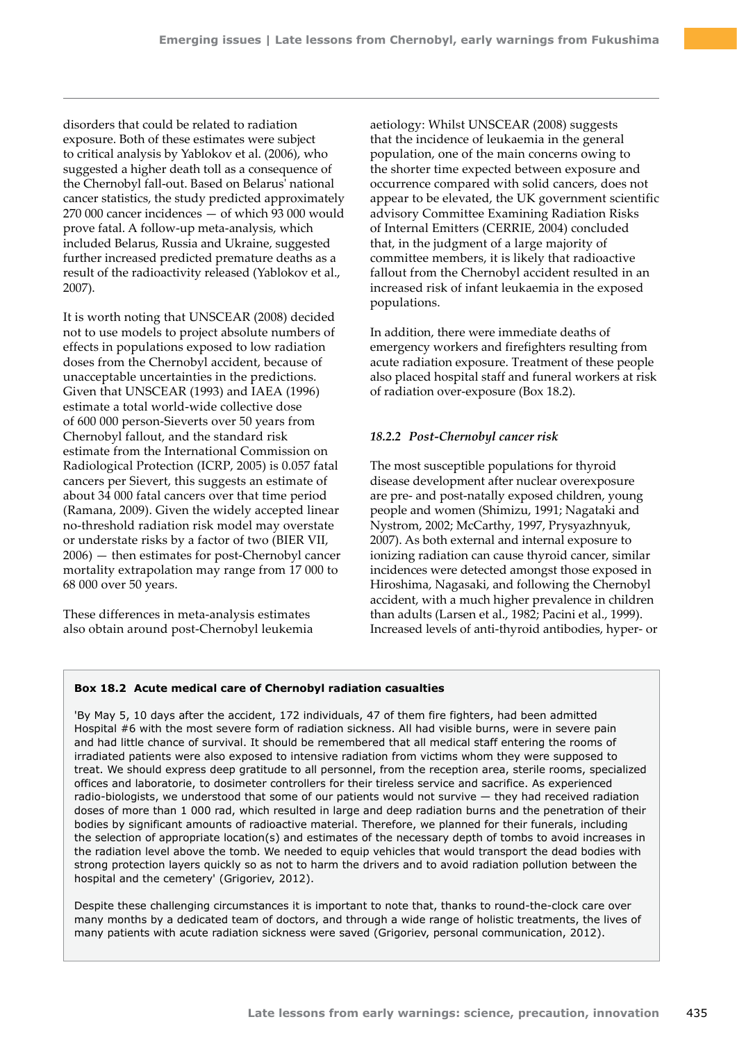disorders that could be related to radiation exposure. Both of these estimates were subject to critical analysis by Yablokov et al. (2006), who suggested a higher death toll as a consequence of the Chernobyl fall-out. Based on Belarus' national cancer statistics, the study predicted approximately 270 000 cancer incidences — of which 93 000 would prove fatal. A follow-up meta-analysis, which included Belarus, Russia and Ukraine, suggested further increased predicted premature deaths as a result of the radioactivity released (Yablokov et al., 2007).

It is worth noting that UNSCEAR (2008) decided not to use models to project absolute numbers of effects in populations exposed to low radiation doses from the Chernobyl accident, because of unacceptable uncertainties in the predictions. Given that UNSCEAR (1993) and IAEA (1996) estimate a total world-wide collective dose of 600 000 person-Sieverts over 50 years from Chernobyl fallout, and the standard risk estimate from the International Commission on Radiological Protection (ICRP, 2005) is 0.057 fatal cancers per Sievert, this suggests an estimate of about 34 000 fatal cancers over that time period (Ramana, 2009). Given the widely accepted linear no-threshold radiation risk model may overstate or understate risks by a factor of two (BIER VII, 2006) — then estimates for post-Chernobyl cancer mortality extrapolation may range from 17 000 to 68 000 over 50 years.

These differences in meta-analysis estimates also obtain around post-Chernobyl leukemia

aetiology: Whilst UNSCEAR (2008) suggests that the incidence of leukaemia in the general population, one of the main concerns owing to the shorter time expected between exposure and occurrence compared with solid cancers, does not appear to be elevated, the UK government scientific advisory Committee Examining Radiation Risks of Internal Emitters (CERRIE, 2004) concluded that, in the judgment of a large majority of committee members, it is likely that radioactive fallout from the Chernobyl accident resulted in an increased risk of infant leukaemia in the exposed populations.

In addition, there were immediate deaths of emergency workers and firefighters resulting from acute radiation exposure. Treatment of these people also placed hospital staff and funeral workers at risk of radiation over-exposure (Box 18.2).

## *18.2.2 Post-Chernobyl cancer risk*

The most susceptible populations for thyroid disease development after nuclear overexposure are pre- and post-natally exposed children, young people and women (Shimizu, 1991; Nagataki and Nystrom, 2002; McCarthy, 1997, Prysyazhnyuk, 2007). As both external and internal exposure to ionizing radiation can cause thyroid cancer, similar incidences were detected amongst those exposed in Hiroshima, Nagasaki, and following the Chernobyl accident, with a much higher prevalence in children than adults (Larsen et al., 1982; Pacini et al., 1999). Increased levels of anti-thyroid antibodies, hyper- or

#### **Box 18.2 Acute medical care of Chernobyl radiation casualties**

'By May 5, 10 days after the accident, 172 individuals, 47 of them fire fighters, had been admitted Hospital #6 with the most severe form of radiation sickness. All had visible burns, were in severe pain and had little chance of survival. It should be remembered that all medical staff entering the rooms of irradiated patients were also exposed to intensive radiation from victims whom they were supposed to treat. We should express deep gratitude to all personnel, from the reception area, sterile rooms, specialized offices and laboratorie, to dosimeter controllers for their tireless service and sacrifice. As experienced radio-biologists, we understood that some of our patients would not survive — they had received radiation doses of more than 1 000 rad, which resulted in large and deep radiation burns and the penetration of their bodies by significant amounts of radioactive material. Therefore, we planned for their funerals, including the selection of appropriate location(s) and estimates of the necessary depth of tombs to avoid increases in the radiation level above the tomb. We needed to equip vehicles that would transport the dead bodies with strong protection layers quickly so as not to harm the drivers and to avoid radiation pollution between the hospital and the cemetery' (Grigoriev, 2012).

Despite these challenging circumstances it is important to note that, thanks to round-the-clock care over many months by a dedicated team of doctors, and through a wide range of holistic treatments, the lives of many patients with acute radiation sickness were saved (Grigoriev, personal communication, 2012).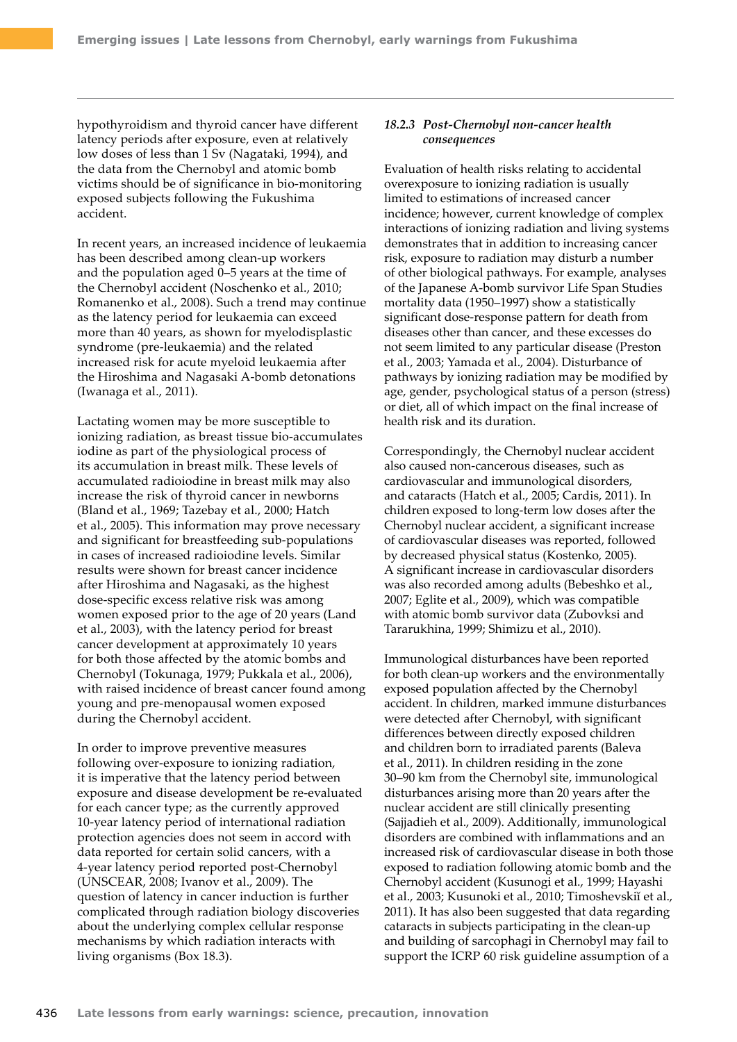hypothyroidism and thyroid cancer have different latency periods after exposure, even at relatively low doses of less than 1 Sv (Nagataki, 1994), and the data from the Chernobyl and atomic bomb victims should be of significance in bio-monitoring exposed subjects following the Fukushima accident.

In recent years, an increased incidence of leukaemia has been described among clean-up workers and the population aged 0–5 years at the time of the Chernobyl accident (Noschenko et al., 2010; Romanenko et al., 2008). Such a trend may continue as the latency period for leukaemia can exceed more than 40 years, as shown for myelodisplastic syndrome (pre-leukaemia) and the related increased risk for acute myeloid leukaemia after the Hiroshima and Nagasaki A-bomb detonations (Iwanaga et al., 2011).

Lactating women may be more susceptible to ionizing radiation, as breast tissue bio-accumulates iodine as part of the physiological process of its accumulation in breast milk. These levels of accumulated radioiodine in breast milk may also increase the risk of thyroid cancer in newborns (Bland et al., 1969; Tazebay et al., 2000; Hatch et al., 2005). This information may prove necessary and significant for breastfeeding sub-populations in cases of increased radioiodine levels. Similar results were shown for breast cancer incidence after Hiroshima and Nagasaki, as the highest dose-specific excess relative risk was among women exposed prior to the age of 20 years (Land et al., 2003), with the latency period for breast cancer development at approximately 10 years for both those affected by the atomic bombs and Chernobyl (Tokunaga, 1979; Pukkala et al., 2006), with raised incidence of breast cancer found among young and pre-menopausal women exposed during the Chernobyl accident.

In order to improve preventive measures following over-exposure to ionizing radiation, it is imperative that the latency period between exposure and disease development be re-evaluated for each cancer type; as the currently approved 10-year latency period of international radiation protection agencies does not seem in accord with data reported for certain solid cancers, with a 4-year latency period reported post-Chernobyl (UNSCEAR, 2008; Ivanov et al., 2009). The question of latency in cancer induction is further complicated through radiation biology discoveries about the underlying complex cellular response mechanisms by which radiation interacts with living organisms (Box 18.3).

## *18.2.3 Post-Chernobyl non-cancer health consequences*

Evaluation of health risks relating to accidental overexposure to ionizing radiation is usually limited to estimations of increased cancer incidence; however, current knowledge of complex interactions of ionizing radiation and living systems demonstrates that in addition to increasing cancer risk, exposure to radiation may disturb a number of other biological pathways. For example, analyses of the Japanese A-bomb survivor Life Span Studies mortality data (1950–1997) show a statistically significant dose-response pattern for death from diseases other than cancer, and these excesses do not seem limited to any particular disease (Preston et al., 2003; Yamada et al., 2004). Disturbance of pathways by ionizing radiation may be modified by age, gender, psychological status of a person (stress) or diet, all of which impact on the final increase of health risk and its duration.

Correspondingly, the Chernobyl nuclear accident also caused non-cancerous diseases, such as cardiovascular and immunological disorders, and cataracts (Hatch et al., 2005; Cardis, 2011). In children exposed to long-term low doses after the Chernobyl nuclear accident, a significant increase of cardiovascular diseases was reported, followed by decreased physical status (Kostenko, 2005). A significant increase in cardiovascular disorders was also recorded among adults (Bebeshko et al., 2007; Eglite et al., 2009), which was compatible with atomic bomb survivor data (Zubovksi and Tararukhina, 1999; Shimizu et al., 2010).

Immunological disturbances have been reported for both clean-up workers and the environmentally exposed population affected by the Chernobyl accident. In children, marked immune disturbances were detected after Chernobyl, with significant differences between directly exposed children and children born to irradiated parents (Baleva et al., 2011). In children residing in the zone 30–90 km from the Chernobyl site, immunological disturbances arising more than 20 years after the nuclear accident are still clinically presenting (Sajjadieh et al., 2009). Additionally, immunological disorders are combined with inflammations and an increased risk of cardiovascular disease in both those exposed to radiation following atomic bomb and the Chernobyl accident (Kusunogi et al., 1999; Hayashi et al., 2003; Kusunoki et al., 2010; Timoshevskiĭ et al., 2011). It has also been suggested that data regarding cataracts in subjects participating in the clean-up and building of sarcophagi in Chernobyl may fail to support the ICRP 60 risk guideline assumption of a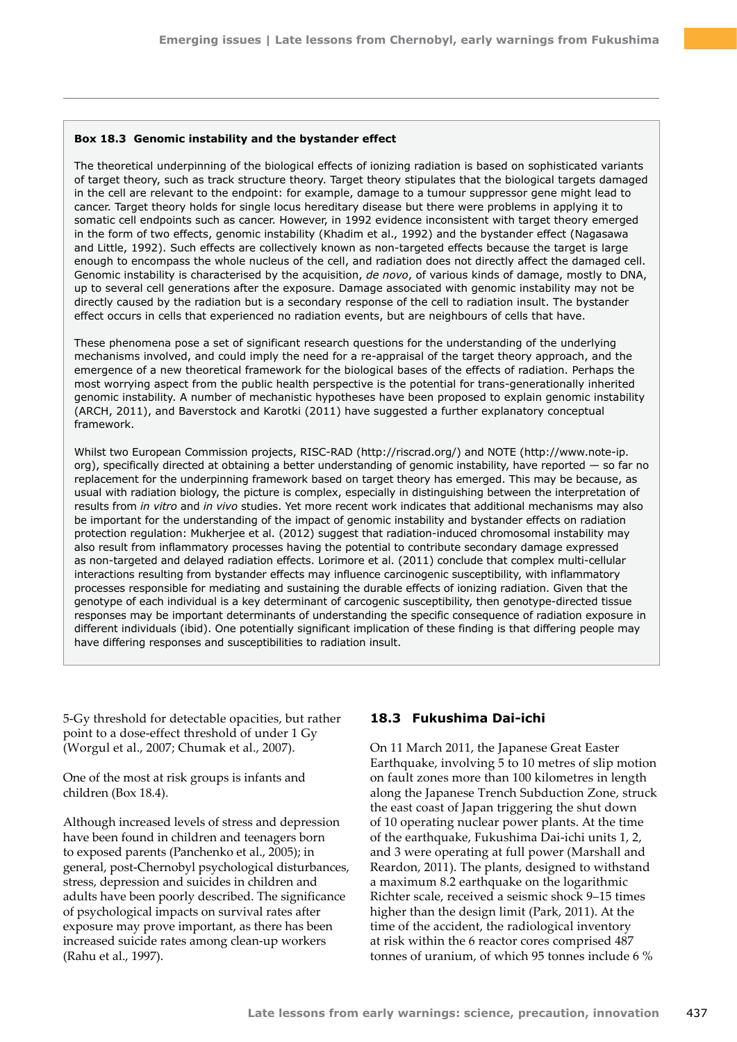#### **Box 18.3 Genomic instability and the bystander effect**

The theoretical underpinning of the biological effects of ionizing radiation is based on sophisticated variants of target theory, such as track structure theory. Target theory stipulates that the biological targets damaged in the cell are relevant to the endpoint: for example, damage to a tumour suppressor gene might lead to cancer. Target theory holds for single locus hereditary disease but there were problems in applying it to somatic cell endpoints such as cancer. However, in 1992 evidence inconsistent with target theory emerged in the form of two effects, genomic instability (Khadim et al., 1992) and the bystander effect (Nagasawa and Little, 1992). Such effects are collectively known as non-targeted effects because the target is large enough to encompass the whole nucleus of the cell, and radiation does not directly affect the damaged cell. Genomic instability is characterised by the acquisition, *de novo*, of various kinds of damage, mostly to DNA, up to several cell generations after the exposure. Damage associated with genomic instability may not be directly caused by the radiation but is a secondary response of the cell to radiation insult. The bystander effect occurs in cells that experienced no radiation events, but are neighbours of cells that have.

These phenomena pose a set of significant research questions for the understanding of the underlying mechanisms involved, and could imply the need for a re-appraisal of the target theory approach, and the emergence of a new theoretical framework for the biological bases of the effects of radiation. Perhaps the most worrying aspect from the public health perspective is the potential for trans-generationally inherited genomic instability. A number of mechanistic hypotheses have been proposed to explain genomic instability (ARCH, 2011), and Baverstock and Karotki (2011) have suggested a further explanatory conceptual framework.

Whilst two European Commission projects, RISC-RAD ([http://riscrad.org/\)](http://riscrad.org/) and NOTE ([http://www.note-ip.](http://www.note-ip.org) [org\)](http://www.note-ip.org), specifically directed at obtaining a better understanding of genomic instability, have reported — so far no replacement for the underpinning framework based on target theory has emerged. This may be because, as usual with radiation biology, the picture is complex, especially in distinguishing between the interpretation of results from *in vitro* and *in vivo* studies. Yet more recent work indicates that additional mechanisms may also be important for the understanding of the impact of genomic instability and bystander effects on radiation protection regulation: Mukherjee et al. (2012) suggest that radiation-induced chromosomal instability may also result from inflammatory processes having the potential to contribute secondary damage expressed as non-targeted and delayed radiation effects. Lorimore et al. (2011) conclude that complex multi-cellular interactions resulting from bystander effects may influence carcinogenic susceptibility, with inflammatory processes responsible for mediating and sustaining the durable effects of ionizing radiation. Given that the genotype of each individual is a key determinant of carcogenic susceptibility, then genotype-directed tissue responses may be important determinants of understanding the specific consequence of radiation exposure in different individuals (ibid). One potentially significant implication of these finding is that differing people may have differing responses and susceptibilities to radiation insult.

5-Gy threshold for detectable opacities, but rather point to a dose-effect threshold of under 1 Gy (Worgul et al., 2007; Chumak et al., 2007).

One of the most at risk groups is infants and children (Box 18.4).

Although increased levels of stress and depression have been found in children and teenagers born to exposed parents (Panchenko et al., 2005); in general, post-Chernobyl psychological disturbances, stress, depression and suicides in children and adults have been poorly described. The significance of psychological impacts on survival rates after exposure may prove important, as there has been increased suicide rates among clean-up workers (Rahu et al., 1997).

# **18.3 Fukushima Dai-ichi**

On 11 March 2011, the Japanese Great Easter Earthquake, involving 5 to 10 metres of slip motion on fault zones more than 100 kilometres in length along the Japanese Trench Subduction Zone, struck the east coast of Japan triggering the shut down of 10 operating nuclear power plants. At the time of the earthquake, Fukushima Dai-ichi units 1, 2, and 3 were operating at full power (Marshall and Reardon, 2011). The plants, designed to withstand a maximum 8.2 earthquake on the logarithmic Richter scale, received a seismic shock 9–15 times higher than the design limit (Park, 2011). At the time of the accident, the radiological inventory at risk within the 6 reactor cores comprised 487 tonnes of uranium, of which 95 tonnes include 6 %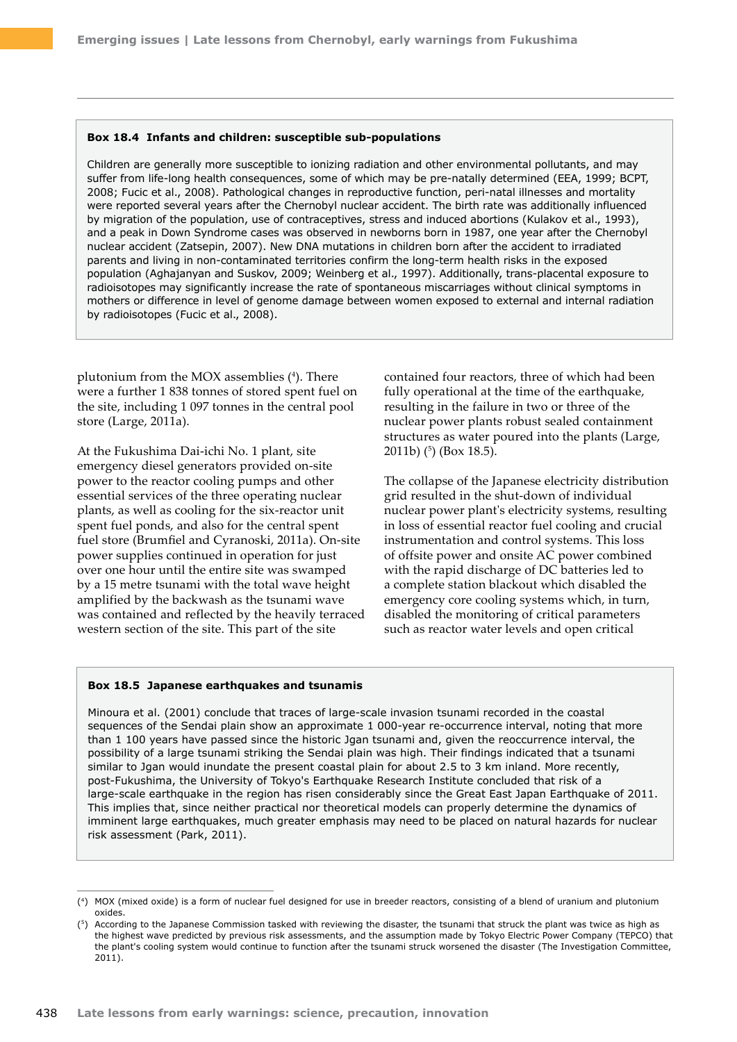#### **Box 18.4 Infants and children: susceptible sub-populations**

Children are generally more susceptible to ionizing radiation and other environmental pollutants, and may suffer from life-long health consequences, some of which may be pre-natally determined (EEA, 1999; BCPT, 2008; Fucic et al., 2008). Pathological changes in reproductive function, peri-natal illnesses and mortality were reported several years after the Chernobyl nuclear accident. The birth rate was additionally influenced by migration of the population, use of contraceptives, stress and induced abortions (Kulakov et al., 1993), and a peak in Down Syndrome cases was observed in newborns born in 1987, one year after the Chernobyl nuclear accident (Zatsepin, 2007). New DNA mutations in children born after the accident to irradiated parents and living in non-contaminated territories confirm the long-term health risks in the exposed population (Aghajanyan and Suskov, 2009; Weinberg et al., 1997). Additionally, trans-placental exposure to radioisotopes may significantly increase the rate of spontaneous miscarriages without clinical symptoms in mothers or difference in level of genome damage between women exposed to external and internal radiation by radioisotopes (Fucic et al., 2008).

plutonium from the MOX assemblies (4 ). There were a further 1 838 tonnes of stored spent fuel on the site, including 1 097 tonnes in the central pool store (Large, 2011a).

At the Fukushima Dai-ichi No. 1 plant, site emergency diesel generators provided on-site power to the reactor cooling pumps and other essential services of the three operating nuclear plants, as well as cooling for the six-reactor unit spent fuel ponds, and also for the central spent fuel store (Brumfiel and Cyranoski, 2011a). On‑site power supplies continued in operation for just over one hour until the entire site was swamped by a 15 metre tsunami with the total wave height amplified by the backwash as the tsunami wave was contained and reflected by the heavily terraced western section of the site. This part of the site

contained four reactors, three of which had been fully operational at the time of the earthquake, resulting in the failure in two or three of the nuclear power plants robust sealed containment structures as water poured into the plants (Large, 2011b) (5 ) (Box 18.5).

The collapse of the Japanese electricity distribution grid resulted in the shut-down of individual nuclear power plant's electricity systems, resulting in loss of essential reactor fuel cooling and crucial instrumentation and control systems. This loss of offsite power and onsite AC power combined with the rapid discharge of DC batteries led to a complete station blackout which disabled the emergency core cooling systems which, in turn, disabled the monitoring of critical parameters such as reactor water levels and open critical

#### **Box 18.5 Japanese earthquakes and tsunamis**

Minoura et al. (2001) conclude that traces of large-scale invasion tsunami recorded in the coastal sequences of the Sendai plain show an approximate 1 000-year re-occurrence interval, noting that more than 1 100 years have passed since the historic Jgan tsunami and, given the reoccurrence interval, the possibility of a large tsunami striking the Sendai plain was high. Their findings indicated that a tsunami similar to Jgan would inundate the present coastal plain for about 2.5 to 3 km inland. More recently, post-Fukushima, the University of Tokyo's Earthquake Research Institute concluded that risk of a large-scale earthquake in the region has risen considerably since the Great East Japan Earthquake of 2011. This implies that, since neither practical nor theoretical models can properly determine the dynamics of imminent large earthquakes, much greater emphasis may need to be placed on natural hazards for nuclear risk assessment (Park, 2011).

<sup>(4)</sup> MOX (mixed oxide) is a form of nuclear fuel designed for use in breeder reactors, consisting of a blend of uranium and plutonium oxides.

<sup>(5)</sup> According to the Japanese Commission tasked with reviewing the disaster, the tsunami that struck the plant was twice as high as the highest wave predicted by previous risk assessments, and the assumption made by Tokyo Electric Power Company (TEPCO) that the plant's cooling system would continue to function after the tsunami struck worsened the disaster (The Investigation Committee, 2011).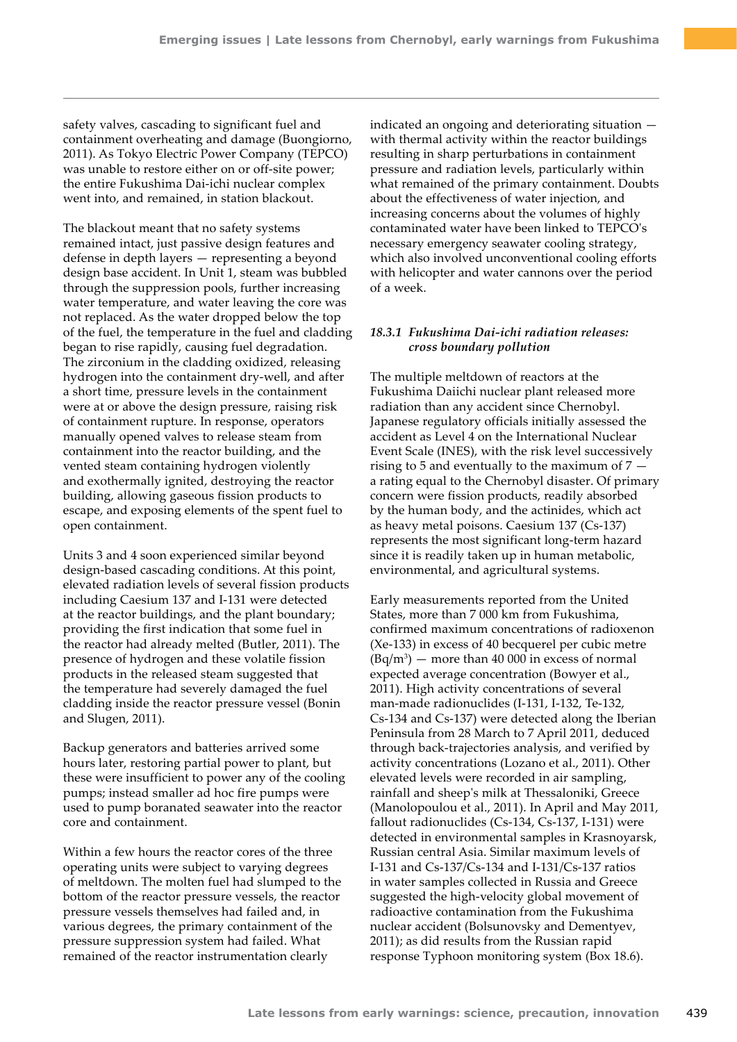safety valves, cascading to significant fuel and containment overheating and damage (Buongiorno, 2011). As Tokyo Electric Power Company (TEPCO) was unable to restore either on or off-site power; the entire Fukushima Dai-ichi nuclear complex went into, and remained, in station blackout.

The blackout meant that no safety systems remained intact, just passive design features and defense in depth layers — representing a beyond design base accident. In Unit 1, steam was bubbled through the suppression pools, further increasing water temperature, and water leaving the core was not replaced. As the water dropped below the top of the fuel, the temperature in the fuel and cladding began to rise rapidly, causing fuel degradation. The zirconium in the cladding oxidized, releasing hydrogen into the containment dry-well, and after a short time, pressure levels in the containment were at or above the design pressure, raising risk of containment rupture. In response, operators manually opened valves to release steam from containment into the reactor building, and the vented steam containing hydrogen violently and exothermally ignited, destroying the reactor building, allowing gaseous fission products to escape, and exposing elements of the spent fuel to open containment.

Units 3 and 4 soon experienced similar beyond design-based cascading conditions. At this point, elevated radiation levels of several fission products including Caesium 137 and I-131 were detected at the reactor buildings, and the plant boundary; providing the first indication that some fuel in the reactor had already melted (Butler, 2011). The presence of hydrogen and these volatile fission products in the released steam suggested that the temperature had severely damaged the fuel cladding inside the reactor pressure vessel (Bonin and Slugen, 2011).

Backup generators and batteries arrived some hours later, restoring partial power to plant, but these were insufficient to power any of the cooling pumps; instead smaller ad hoc fire pumps were used to pump boranated seawater into the reactor core and containment.

Within a few hours the reactor cores of the three operating units were subject to varying degrees of meltdown. The molten fuel had slumped to the bottom of the reactor pressure vessels, the reactor pressure vessels themselves had failed and, in various degrees, the primary containment of the pressure suppression system had failed. What remained of the reactor instrumentation clearly

indicated an ongoing and deteriorating situation with thermal activity within the reactor buildings resulting in sharp perturbations in containment pressure and radiation levels, particularly within what remained of the primary containment. Doubts about the effectiveness of water injection, and increasing concerns about the volumes of highly contaminated water have been linked to TEPCO's necessary emergency seawater cooling strategy, which also involved unconventional cooling efforts with helicopter and water cannons over the period of a week.

## *18.3.1 Fukushima Dai-ichi radiation releases: cross boundary pollution*

The multiple meltdown of reactors at the Fukushima Daiichi nuclear plant released more radiation than any accident since Chernobyl. Japanese regulatory officials initially assessed the accident as Level 4 on the International Nuclear Event Scale (INES), with the risk level successively rising to 5 and eventually to the maximum of 7 a rating equal to the Chernobyl disaster. Of primary concern were fission products, readily absorbed by the human body, and the actinides, which act as heavy metal poisons. Caesium 137 (Cs-137) represents the most significant long-term hazard since it is readily taken up in human metabolic, environmental, and agricultural systems.

Early measurements reported from the United States, more than 7 000 km from Fukushima, confirmed maximum concentrations of radioxenon (Xe-133) in excess of 40 becquerel per cubic metre  $(Bq/m<sup>3</sup>)$  — more than 40 000 in excess of normal expected average concentration (Bowyer et al., 2011). High activity concentrations of several man-made radionuclides (I-131, I-132, Te-132, Cs-134 and Cs-137) were detected along the Iberian Peninsula from 28 March to 7 April 2011, deduced through back-trajectories analysis, and verified by activity concentrations (Lozano et al., 2011). Other elevated levels were recorded in air sampling, rainfall and sheep's milk at Thessaloniki, Greece (Manolopoulou et al., 2011). In April and May 2011, fallout radionuclides (Cs-134, Cs-137, I-131) were detected in environmental samples in Krasnoyarsk, Russian central Asia. Similar maximum levels of I-131 and Cs-137/Cs-134 and I-131/Cs-137 ratios in water samples collected in Russia and Greece suggested the high-velocity global movement of radioactive contamination from the Fukushima nuclear accident (Bolsunovsky and Dementyev, 2011); as did results from the Russian rapid response Typhoon monitoring system (Box 18.6).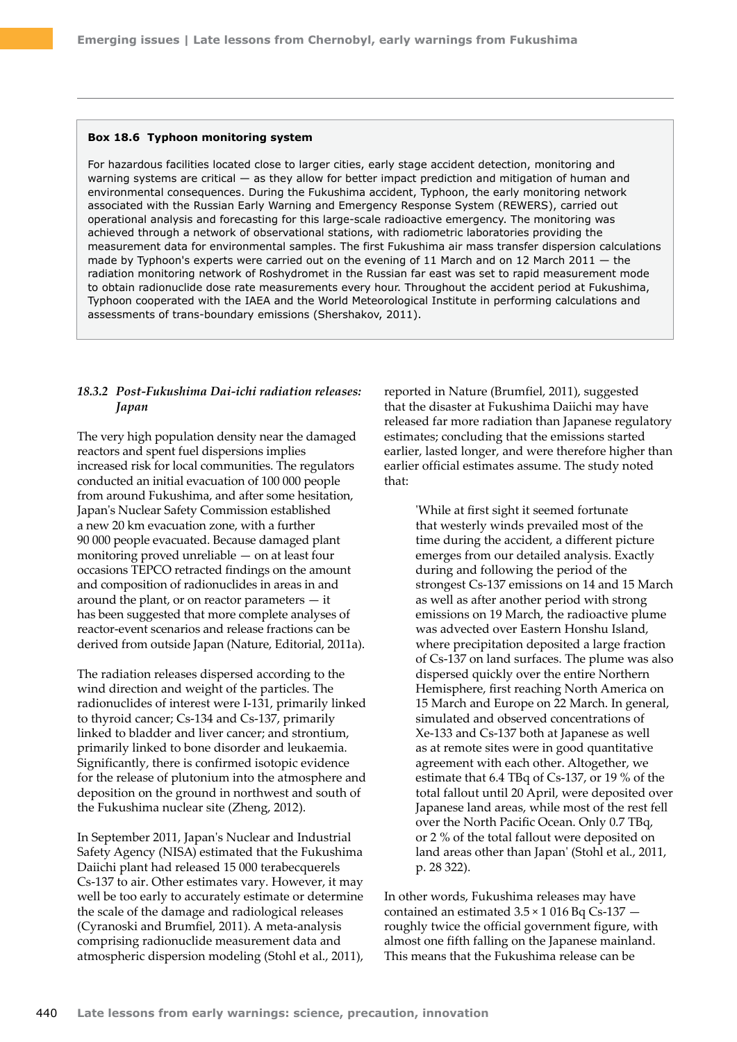#### **Box 18.6 Typhoon monitoring system**

For hazardous facilities located close to larger cities, early stage accident detection, monitoring and warning systems are critical — as they allow for better impact prediction and mitigation of human and environmental consequences. During the Fukushima accident, Typhoon, the early monitoring network associated with the Russian Early Warning and Emergency Response System (REWERS), carried out operational analysis and forecasting for this large-scale radioactive emergency. The monitoring was achieved through a network of observational stations, with radiometric laboratories providing the measurement data for environmental samples. The first Fukushima air mass transfer dispersion calculations made by Typhoon's experts were carried out on the evening of 11 March and on 12 March 2011  $-$  the radiation monitoring network of Roshydromet in the Russian far east was set to rapid measurement mode to obtain radionuclide dose rate measurements every hour. Throughout the accident period at Fukushima, Typhoon cooperated with the IAEA and the World Meteorological Institute in performing calculations and assessments of trans-boundary emissions (Shershakov, 2011).

## *18.3.2 Post-Fukushima Dai-ichi radiation releases: Japan*

The very high population density near the damaged reactors and spent fuel dispersions implies increased risk for local communities. The regulators conducted an initial evacuation of 100 000 people from around Fukushima, and after some hesitation, Japan's Nuclear Safety Commission established a new 20 km evacuation zone, with a further 90 000 people evacuated. Because damaged plant monitoring proved unreliable — on at least four occasions TEPCO retracted findings on the amount and composition of radionuclides in areas in and around the plant, or on reactor parameters  $-$  it has been suggested that more complete analyses of reactor-event scenarios and release fractions can be derived from outside Japan (Nature, Editorial, 2011a).

The radiation releases dispersed according to the wind direction and weight of the particles. The radionuclides of interest were I-131, primarily linked to thyroid cancer; Cs-134 and Cs-137, primarily linked to bladder and liver cancer; and strontium, primarily linked to bone disorder and leukaemia. Significantly, there is confirmed isotopic evidence for the release of plutonium into the atmosphere and deposition on the ground in northwest and south of the Fukushima nuclear site (Zheng, 2012).

In September 2011, Japan's Nuclear and Industrial Safety Agency (NISA) estimated that the Fukushima Daiichi plant had released 15 000 terabecquerels Cs-137 to air. Other estimates vary. However, it may well be too early to accurately estimate or determine the scale of the damage and radiological releases (Cyranoski and Brumfiel, 2011). A meta-analysis comprising radionuclide measurement data and atmospheric dispersion modeling (Stohl et al., 2011), reported in Nature (Brumfiel, 2011), suggested that the disaster at Fukushima Daiichi may have released far more radiation than Japanese regulatory estimates; concluding that the emissions started earlier, lasted longer, and were therefore higher than earlier official estimates assume. The study noted that:

> 'While at first sight it seemed fortunate that westerly winds prevailed most of the time during the accident, a different picture emerges from our detailed analysis. Exactly during and following the period of the strongest Cs-137 emissions on 14 and 15 March as well as after another period with strong emissions on 19 March, the radioactive plume was advected over Eastern Honshu Island, where precipitation deposited a large fraction of Cs-137 on land surfaces. The plume was also dispersed quickly over the entire Northern Hemisphere, first reaching North America on 15 March and Europe on 22 March. In general, simulated and observed concentrations of Xe-133 and Cs-137 both at Japanese as well as at remote sites were in good quantitative agreement with each other. Altogether, we estimate that 6.4 TBq of Cs-137, or 19 % of the total fallout until 20 April, were deposited over Japanese land areas, while most of the rest fell over the North Pacific Ocean. Only 0.7 TBq, or 2 % of the total fallout were deposited on land areas other than Japan' (Stohl et al., 2011, p. 28 322).

In other words, Fukushima releases may have contained an estimated 3.5 × 1 016 Bq Cs-137 roughly twice the official government figure, with almost one fifth falling on the Japanese mainland. This means that the Fukushima release can be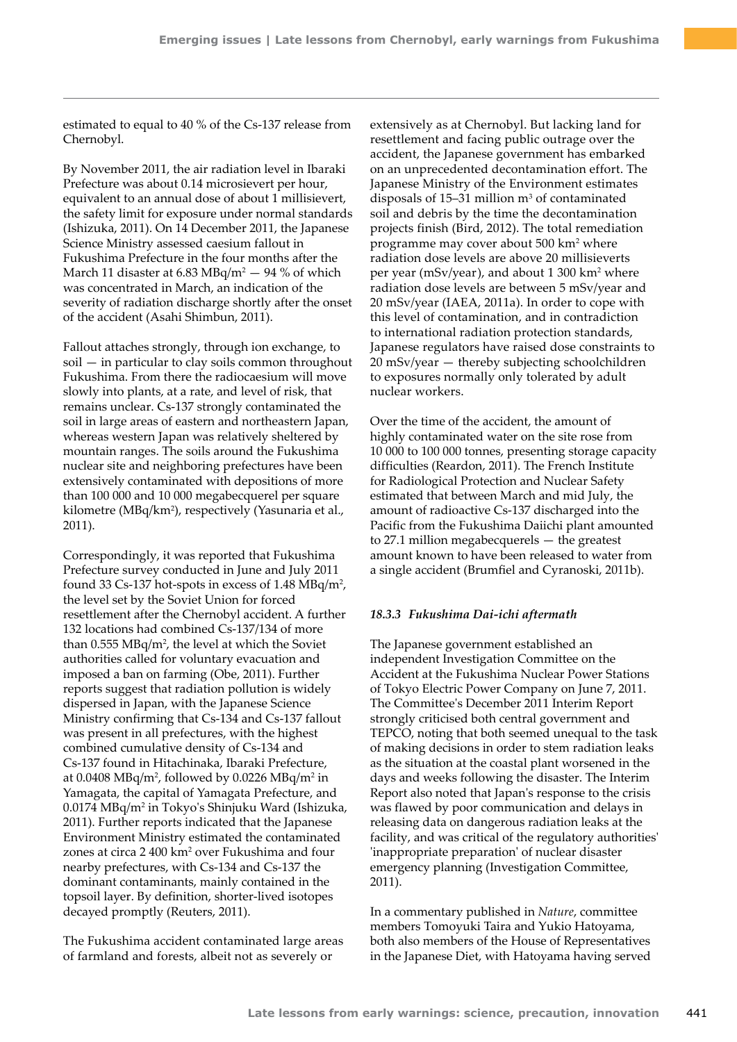estimated to equal to 40 % of the Cs-137 release from Chernobyl.

By November 2011, the air radiation level in Ibaraki Prefecture was about 0.14 microsievert per hour, equivalent to an annual dose of about 1 millisievert, the safety limit for exposure under normal standards (Ishizuka, 2011). On 14 December 2011, the Japanese Science Ministry assessed caesium fallout in Fukushima Prefecture in the four months after the March 11 disaster at 6.83 MBq/m<sup>2</sup>  $-$  94 % of which was concentrated in March, an indication of the severity of radiation discharge shortly after the onset of the accident (Asahi Shimbun, 2011).

Fallout attaches strongly, through ion exchange, to soil — in particular to clay soils common throughout Fukushima. From there the radiocaesium will move slowly into plants, at a rate, and level of risk, that remains unclear. Cs-137 strongly contaminated the soil in large areas of eastern and northeastern Japan, whereas western Japan was relatively sheltered by mountain ranges. The soils around the Fukushima nuclear site and neighboring prefectures have been extensively contaminated with depositions of more than 100 000 and 10 000 megabecquerel per square kilometre (MBq/km2 ), respectively (Yasunaria et al., 2011).

Correspondingly, it was reported that Fukushima Prefecture survey conducted in June and July 2011 found 33 Cs-137 hot-spots in excess of 1.48 MBq/m<sup>2</sup>, the level set by the Soviet Union for forced resettlement after the Chernobyl accident. A further 132 locations had combined Cs-137/134 of more than  $0.555 \text{ MBq/m}^2$ , the level at which the Soviet authorities called for voluntary evacuation and imposed a ban on farming (Obe, 2011). Further reports suggest that radiation pollution is widely dispersed in Japan, with the Japanese Science Ministry confirming that Cs-134 and Cs-137 fallout was present in all prefectures, with the highest combined cumulative density of Cs-134 and Cs-137 found in Hitachinaka, Ibaraki Prefecture, at  $0.0408 \text{ MBq/m}^2$ , followed by  $0.0226 \text{ MBq/m}^2$  in Yamagata, the capital of Yamagata Prefecture, and 0.0174 MBq/m2 in Tokyo's Shinjuku Ward (Ishizuka, 2011). Further reports indicated that the Japanese Environment Ministry estimated the contaminated zones at circa 2 400 km<sup>2</sup> over Fukushima and four nearby prefectures, with Cs-134 and Cs-137 the dominant contaminants, mainly contained in the topsoil layer. By definition, shorter-lived isotopes decayed promptly (Reuters, 2011).

The Fukushima accident contaminated large areas of farmland and forests, albeit not as severely or

extensively as at Chernobyl. But lacking land for resettlement and facing public outrage over the accident, the Japanese government has embarked on an unprecedented decontamination effort. The Japanese Ministry of the Environment estimates disposals of  $15-31$  million  $m<sup>3</sup>$  of contaminated soil and debris by the time the decontamination projects finish (Bird, 2012). The total remediation programme may cover about 500 km<sup>2</sup> where radiation dose levels are above 20 millisieverts per year (mSv/year), and about 1 300 km<sup>2</sup> where radiation dose levels are between 5 mSv/year and 20 mSv/year (IAEA, 2011a). In order to cope with this level of contamination, and in contradiction to international radiation protection standards, Japanese regulators have raised dose constraints to 20 mSv/year — thereby subjecting schoolchildren to exposures normally only tolerated by adult nuclear workers.

Over the time of the accident, the amount of highly contaminated water on the site rose from 10 000 to 100 000 tonnes, presenting storage capacity difficulties (Reardon, 2011). The French Institute for Radiological Protection and Nuclear Safety estimated that between March and mid July, the amount of radioactive Cs-137 discharged into the Pacific from the Fukushima Daiichi plant amounted to 27.1 million megabecquerels — the greatest amount known to have been released to water from a single accident (Brumfiel and Cyranoski, 2011b).

#### *18.3.3 Fukushima Dai-ichi aftermath*

The Japanese government established an independent Investigation Committee on the Accident at the Fukushima Nuclear Power Stations of Tokyo Electric Power Company on June 7, 2011. The Committee's December 2011 Interim Report strongly criticised both central government and TEPCO, noting that both seemed unequal to the task of making decisions in order to stem radiation leaks as the situation at the coastal plant worsened in the days and weeks following the disaster. The Interim Report also noted that Japan's response to the crisis was flawed by poor communication and delays in releasing data on dangerous radiation leaks at the facility, and was critical of the regulatory authorities' 'inappropriate preparation' of nuclear disaster emergency planning (Investigation Committee, 2011).

In a commentary published in *Nature*, committee members Tomoyuki Taira and Yukio Hatoyama, both also members of the House of Representatives in the Japanese Diet, with Hatoyama having served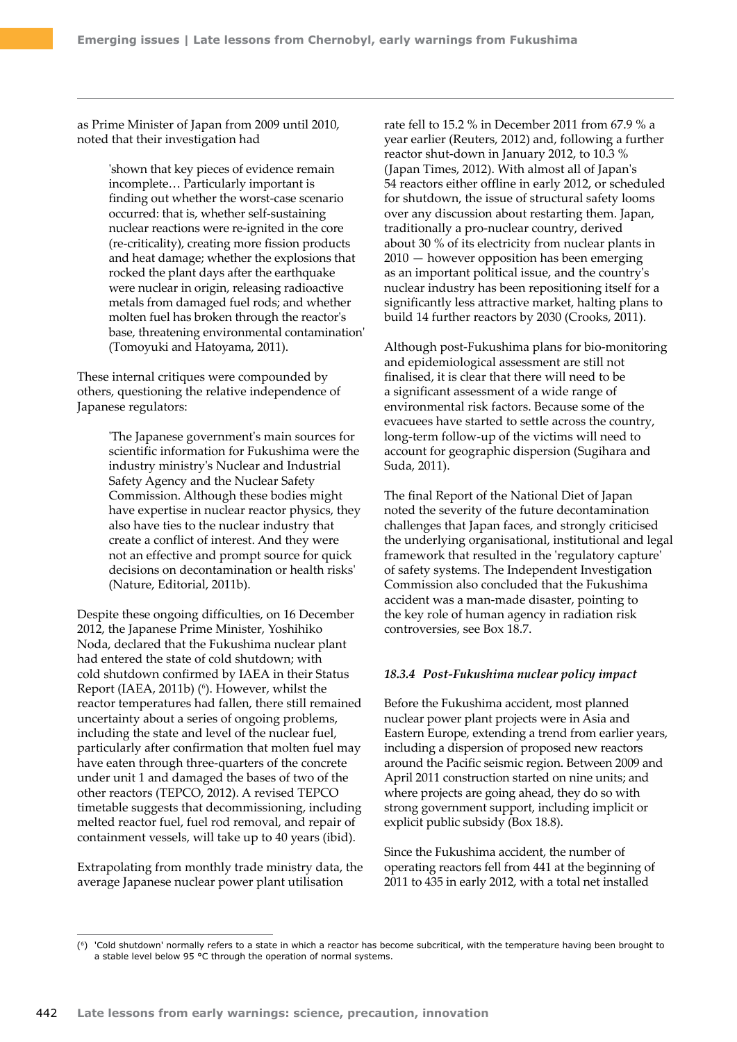as Prime Minister of Japan from 2009 until 2010, noted that their investigation had

> 'shown that key pieces of evidence remain incomplete… Particularly important is finding out whether the worst-case scenario occurred: that is, whether self-sustaining nuclear reactions were re-ignited in the core (re-criticality), creating more fission products and heat damage; whether the explosions that rocked the plant days after the earthquake were nuclear in origin, releasing radioactive metals from damaged fuel rods; and whether molten fuel has broken through the reactor's base, threatening environmental contamination' (Tomoyuki and Hatoyama, 2011).

These internal critiques were compounded by others, questioning the relative independence of Japanese regulators:

> 'The Japanese government's main sources for scientific information for Fukushima were the industry ministry's Nuclear and Industrial Safety Agency and the Nuclear Safety Commission. Although these bodies might have expertise in nuclear reactor physics, they also have ties to the nuclear industry that create a conflict of interest. And they were not an effective and prompt source for quick decisions on decontamination or health risks' (Nature, Editorial, 2011b).

Despite these ongoing difficulties, on 16 December 2012, the Japanese Prime Minister, Yoshihiko Noda, declared that the Fukushima nuclear plant had entered the state of cold shutdown; with cold shutdown confirmed by IAEA in their Status Report (IAEA, 2011b) (<sup>6</sup>). However, whilst the reactor temperatures had fallen, there still remained uncertainty about a series of ongoing problems, including the state and level of the nuclear fuel, particularly after confirmation that molten fuel may have eaten through three-quarters of the concrete under unit 1 and damaged the bases of two of the other reactors (TEPCO, 2012). A revised TEPCO timetable suggests that decommissioning, including melted reactor fuel, fuel rod removal, and repair of containment vessels, will take up to 40 years (ibid).

Extrapolating from monthly trade ministry data, the average Japanese nuclear power plant utilisation

rate fell to 15.2 % in December 2011 from 67.9 % a year earlier (Reuters, 2012) and, following a further reactor shut-down in January 2012, to 10.3 % (Japan Times, 2012). With almost all of Japan's 54 reactors either offline in early 2012, or scheduled for shutdown, the issue of structural safety looms over any discussion about restarting them. Japan, traditionally a pro-nuclear country, derived about 30 % of its electricity from nuclear plants in 2010 — however opposition has been emerging as an important political issue, and the country's nuclear industry has been repositioning itself for a significantly less attractive market, halting plans to build 14 further reactors by 2030 (Crooks, 2011).

Although post-Fukushima plans for bio-monitoring and epidemiological assessment are still not finalised, it is clear that there will need to be a significant assessment of a wide range of environmental risk factors. Because some of the evacuees have started to settle across the country, long-term follow-up of the victims will need to account for geographic dispersion (Sugihara and Suda, 2011).

The final Report of the National Diet of Japan noted the severity of the future decontamination challenges that Japan faces, and strongly criticised the underlying organisational, institutional and legal framework that resulted in the 'regulatory capture' of safety systems. The Independent Investigation Commission also concluded that the Fukushima accident was a man-made disaster, pointing to the key role of human agency in radiation risk controversies, see Box 18.7.

## *18.3.4 Post-Fukushima nuclear policy impact*

Before the Fukushima accident, most planned nuclear power plant projects were in Asia and Eastern Europe, extending a trend from earlier years, including a dispersion of proposed new reactors around the Pacific seismic region. Between 2009 and April 2011 construction started on nine units; and where projects are going ahead, they do so with strong government support, including implicit or explicit public subsidy (Box 18.8).

Since the Fukushima accident, the number of operating reactors fell from 441 at the beginning of 2011 to 435 in early 2012, with a total net installed

<sup>(6)</sup> 'Cold shutdown' normally refers to a state in which a reactor has become subcritical, with the temperature having been brought to a stable level below 95 °C through the operation of normal systems.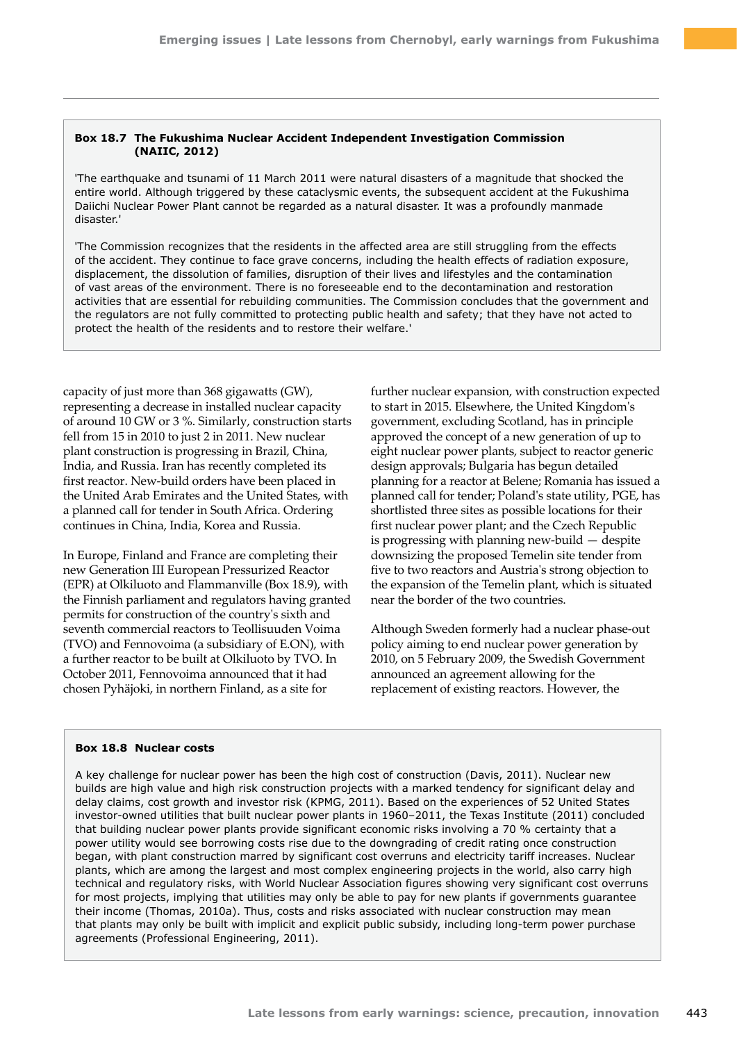#### **Box 18.7 The Fukushima Nuclear Accident Independent Investigation Commission (NAIIC, 2012)**

'The earthquake and tsunami of 11 March 2011 were natural disasters of a magnitude that shocked the entire world. Although triggered by these cataclysmic events, the subsequent accident at the Fukushima Daiichi Nuclear Power Plant cannot be regarded as a natural disaster. It was a profoundly manmade disaster.'

'The Commission recognizes that the residents in the affected area are still struggling from the effects of the accident. They continue to face grave concerns, including the health effects of radiation exposure, displacement, the dissolution of families, disruption of their lives and lifestyles and the contamination of vast areas of the environment. There is no foreseeable end to the decontamination and restoration activities that are essential for rebuilding communities. The Commission concludes that the government and the regulators are not fully committed to protecting public health and safety; that they have not acted to protect the health of the residents and to restore their welfare.'

capacity of just more than 368 gigawatts (GW), representing a decrease in installed nuclear capacity of around 10 GW or 3 %. Similarly, construction starts fell from 15 in 2010 to just 2 in 2011. New nuclear plant construction is progressing in Brazil, China, India, and Russia. Iran has recently completed its first reactor. New-build orders have been placed in the United Arab Emirates and the United States, with a planned call for tender in South Africa. Ordering continues in China, India, Korea and Russia.

In Europe, Finland and France are completing their new Generation III European Pressurized Reactor (EPR) at Olkiluoto and Flammanville (Box 18.9), with the Finnish parliament and regulators having granted permits for construction of the country's sixth and seventh commercial reactors to Teollisuuden Voima (TVO) and Fennovoima (a subsidiary of E.ON), with a further reactor to be built at Olkiluoto by TVO. In October 2011, Fennovoima announced that it had chosen Pyhäjoki, in northern Finland, as a site for

further nuclear expansion, with construction expected to start in 2015. Elsewhere, the United Kingdom's government, excluding Scotland, has in principle approved the concept of a new generation of up to eight nuclear power plants, subject to reactor generic design approvals; Bulgaria has begun detailed planning for a reactor at Belene; Romania has issued a planned call for tender; Poland's state utility, PGE, has shortlisted three sites as possible locations for their first nuclear power plant; and the Czech Republic is progressing with planning new-build — despite downsizing the proposed Temelin site tender from five to two reactors and Austria's strong objection to the expansion of the Temelin plant, which is situated near the border of the two countries.

Although Sweden formerly had a nuclear phase-out policy aiming to end nuclear power generation by 2010, on 5 February 2009, the Swedish Government announced an agreement allowing for the replacement of existing reactors. However, the

#### **Box 18.8 Nuclear costs**

A key challenge for nuclear power has been the high cost of construction (Davis, 2011). Nuclear new builds are high value and high risk construction projects with a marked tendency for significant delay and delay claims, cost growth and investor risk (KPMG, 2011). Based on the experiences of 52 United States investor-owned utilities that built nuclear power plants in 1960–2011, the Texas Institute (2011) concluded that building nuclear power plants provide significant economic risks involving a 70 % certainty that a power utility would see borrowing costs rise due to the downgrading of credit rating once construction began, with plant construction marred by significant cost overruns and electricity tariff increases. Nuclear plants, which are among the largest and most complex engineering projects in the world, also carry high technical and regulatory risks, with World Nuclear Association figures showing very significant cost overruns for most projects, implying that utilities may only be able to pay for new plants if governments guarantee their income (Thomas, 2010a). Thus, costs and risks associated with nuclear construction may mean that plants may only be built with implicit and explicit public subsidy, including long-term power purchase agreements (Professional Engineering, 2011).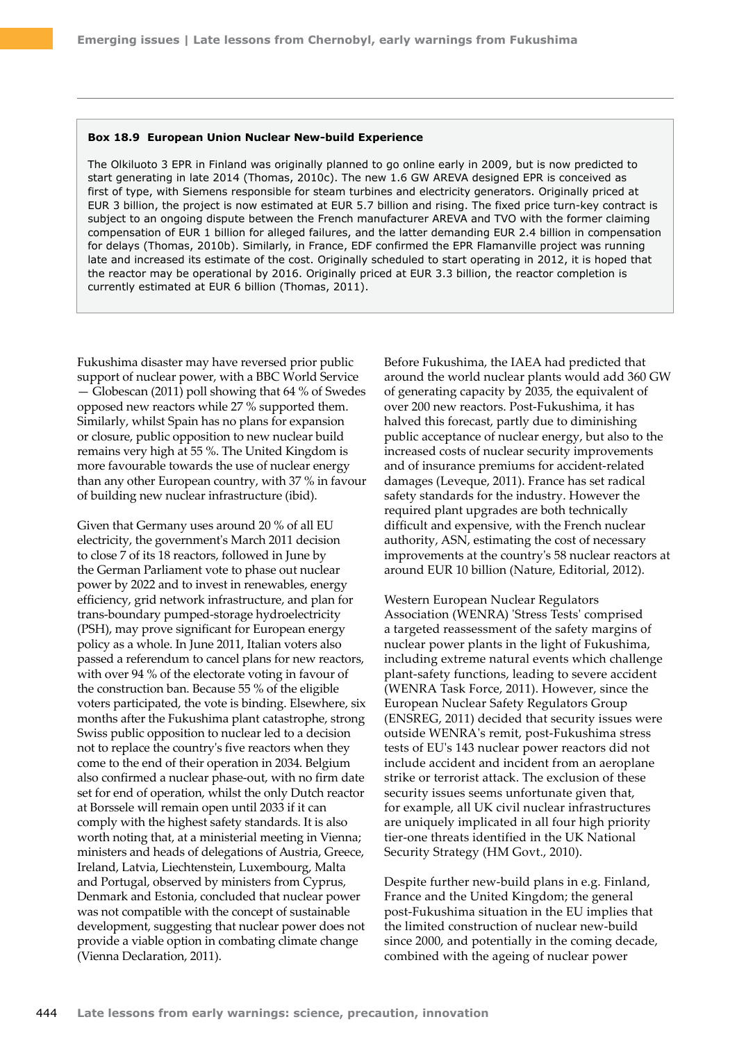#### **Box 18.9 European Union Nuclear New-build Experience**

The Olkiluoto 3 EPR in Finland was originally planned to go online early in 2009, but is now predicted to start generating in late 2014 (Thomas, 2010c). The new 1.6 GW AREVA designed EPR is conceived as first of type, with Siemens responsible for steam turbines and electricity generators. Originally priced at EUR 3 billion, the project is now estimated at EUR 5.7 billion and rising. The fixed price turn-key contract is subject to an ongoing dispute between the French manufacturer AREVA and TVO with the former claiming compensation of EUR 1 billion for alleged failures, and the latter demanding EUR 2.4 billion in compensation for delays (Thomas, 2010b). Similarly, in France, EDF confirmed the EPR Flamanville project was running late and increased its estimate of the cost. Originally scheduled to start operating in 2012, it is hoped that the reactor may be operational by 2016. Originally priced at EUR 3.3 billion, the reactor completion is currently estimated at EUR 6 billion (Thomas, 2011).

Fukushima disaster may have reversed prior public support of nuclear power, with a BBC World Service — Globescan (2011) poll showing that 64 % of Swedes opposed new reactors while 27 % supported them. Similarly, whilst Spain has no plans for expansion or closure, public opposition to new nuclear build remains very high at 55 %. The United Kingdom is more favourable towards the use of nuclear energy than any other European country, with 37 % in favour of building new nuclear infrastructure (ibid).

Given that Germany uses around 20 % of all EU electricity, the government's March 2011 decision to close 7 of its 18 reactors, followed in June by the German Parliament vote to phase out nuclear power by 2022 and to invest in renewables, energy efficiency, grid network infrastructure, and plan for trans-boundary pumped-storage hydroelectricity (PSH), may prove significant for European energy policy as a whole. In June 2011, Italian voters also passed a referendum to cancel plans for new reactors, with over 94 % of the electorate voting in favour of the construction ban. Because 55 % of the eligible voters participated, the vote is binding. Elsewhere, six months after the Fukushima plant catastrophe, strong Swiss public opposition to nuclear led to a decision not to replace the country's five reactors when they come to the end of their operation in 2034. Belgium also confirmed a nuclear phase-out, with no firm date set for end of operation, whilst the only Dutch reactor at Borssele will remain open until 2033 if it can comply with the highest safety standards. It is also worth noting that, at a ministerial meeting in Vienna; ministers and heads of delegations of Austria, Greece, Ireland, Latvia, Liechtenstein, Luxembourg, Malta and Portugal, observed by ministers from Cyprus, Denmark and Estonia, concluded that nuclear power was not compatible with the concept of sustainable development, suggesting that nuclear power does not provide a viable option in combating climate change (Vienna Declaration, 2011).

Before Fukushima, the IAEA had predicted that around the world nuclear plants would add 360 GW of generating capacity by 2035, the equivalent of over 200 new reactors. Post-Fukushima, it has halved this forecast, partly due to diminishing public acceptance of nuclear energy, but also to the increased costs of nuclear security improvements and of insurance premiums for accident-related damages (Leveque, 2011). France has set radical safety standards for the industry. However the required plant upgrades are both technically difficult and expensive, with the French nuclear authority, ASN, estimating the cost of necessary improvements at the country's 58 nuclear reactors at around EUR 10 billion (Nature, Editorial, 2012).

Western European Nuclear Regulators Association (WENRA) 'Stress Tests' comprised a targeted reassessment of the safety margins of nuclear power plants in the light of Fukushima, including extreme natural events which challenge plant-safety functions, leading to severe accident (WENRA Task Force, 2011). However, since the European Nuclear Safety Regulators Group (ENSREG, 2011) decided that security issues were outside WENRA's remit, post-Fukushima stress tests of EU's 143 nuclear power reactors did not include accident and incident from an aeroplane strike or terrorist attack. The exclusion of these security issues seems unfortunate given that, for example, all UK civil nuclear infrastructures are uniquely implicated in all four high priority tier-one threats identified in the UK National Security Strategy (HM Govt., 2010).

Despite further new-build plans in e.g. Finland, France and the United Kingdom; the general post-Fukushima situation in the EU implies that the limited construction of nuclear new-build since 2000, and potentially in the coming decade, combined with the ageing of nuclear power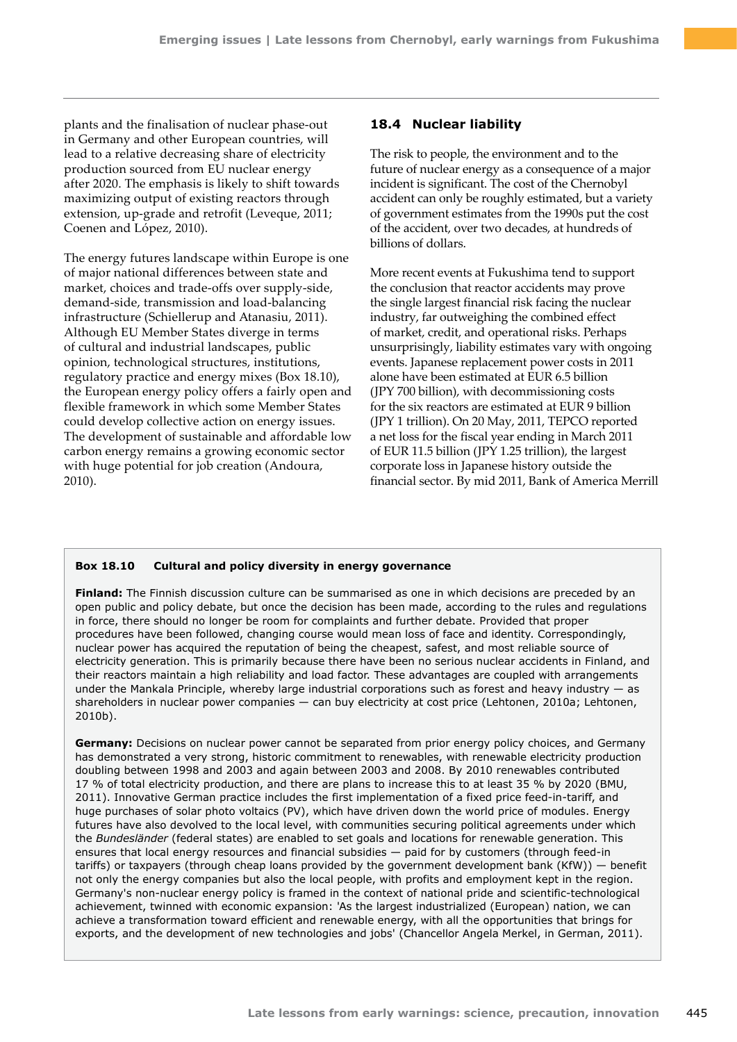plants and the finalisation of nuclear phase-out in Germany and other European countries, will lead to a relative decreasing share of electricity production sourced from EU nuclear energy after 2020. The emphasis is likely to shift towards maximizing output of existing reactors through extension, up-grade and retrofit (Leveque, 2011; Coenen and López, 2010).

The energy futures landscape within Europe is one of major national differences between state and market, choices and trade-offs over supply-side, demand-side, transmission and load-balancing infrastructure (Schiellerup and Atanasiu, 2011). Although EU Member States diverge in terms of cultural and industrial landscapes, public opinion, technological structures, institutions, regulatory practice and energy mixes (Box 18.10), the European energy policy offers a fairly open and flexible framework in which some Member States could develop collective action on energy issues. The development of sustainable and affordable low carbon energy remains a growing economic sector with huge potential for job creation (Andoura, 2010).

# **18.4 Nuclear liability**

The risk to people, the environment and to the future of nuclear energy as a consequence of a major incident is significant. The cost of the Chernobyl accident can only be roughly estimated, but a variety of government estimates from the 1990s put the cost of the accident, over two decades, at hundreds of billions of dollars.

More recent events at Fukushima tend to support the conclusion that reactor accidents may prove the single largest financial risk facing the nuclear industry, far outweighing the combined effect of market, credit, and operational risks. Perhaps unsurprisingly, liability estimates vary with ongoing events. Japanese replacement power costs in 2011 alone have been estimated at EUR 6.5 billion (JPY 700 billion), with decommissioning costs for the six reactors are estimated at EUR 9 billion (JPY 1 trillion). On 20 May, 2011, TEPCO reported a net loss for the fiscal year ending in March 2011 of EUR 11.5 billion (JPY 1.25 trillion), the largest corporate loss in Japanese history outside the financial sector. By mid 2011, Bank of America Merrill

## **Box 18.10 Cultural and policy diversity in energy governance**

**Finland:** The Finnish discussion culture can be summarised as one in which decisions are preceded by an open public and policy debate, but once the decision has been made, according to the rules and regulations in force, there should no longer be room for complaints and further debate. Provided that proper procedures have been followed, changing course would mean loss of face and identity. Correspondingly, nuclear power has acquired the reputation of being the cheapest, safest, and most reliable source of electricity generation. This is primarily because there have been no serious nuclear accidents in Finland, and their reactors maintain a high reliability and load factor. These advantages are coupled with arrangements under the Mankala Principle, whereby large industrial corporations such as forest and heavy industry — as shareholders in nuclear power companies — can buy electricity at cost price (Lehtonen, 2010a; Lehtonen, 2010b).

**Germany:** Decisions on nuclear power cannot be separated from prior energy policy choices, and Germany has demonstrated a very strong, historic commitment to renewables, with renewable electricity production doubling between 1998 and 2003 and again between 2003 and 2008. By 2010 renewables contributed 17 % of total electricity production, and there are plans to increase this to at least 35 % by 2020 (BMU, 2011). Innovative German practice includes the first implementation of a fixed price feed-in-tariff, and huge purchases of solar photo voltaics (PV), which have driven down the world price of modules. Energy futures have also devolved to the local level, with communities securing political agreements under which the *Bundesländer* (federal states) are enabled to set goals and locations for renewable generation. This ensures that local energy resources and financial subsidies — paid for by customers (through feed-in tariffs) or taxpayers (through cheap loans provided by the government development bank (KfW)) — benefit not only the energy companies but also the local people, with profits and employment kept in the region. Germany's non-nuclear energy policy is framed in the context of national pride and scientific-technological achievement, twinned with economic expansion: 'As the largest industrialized (European) nation, we can achieve a transformation toward efficient and renewable energy, with all the opportunities that brings for exports, and the development of new technologies and jobs' (Chancellor Angela Merkel, in German, 2011).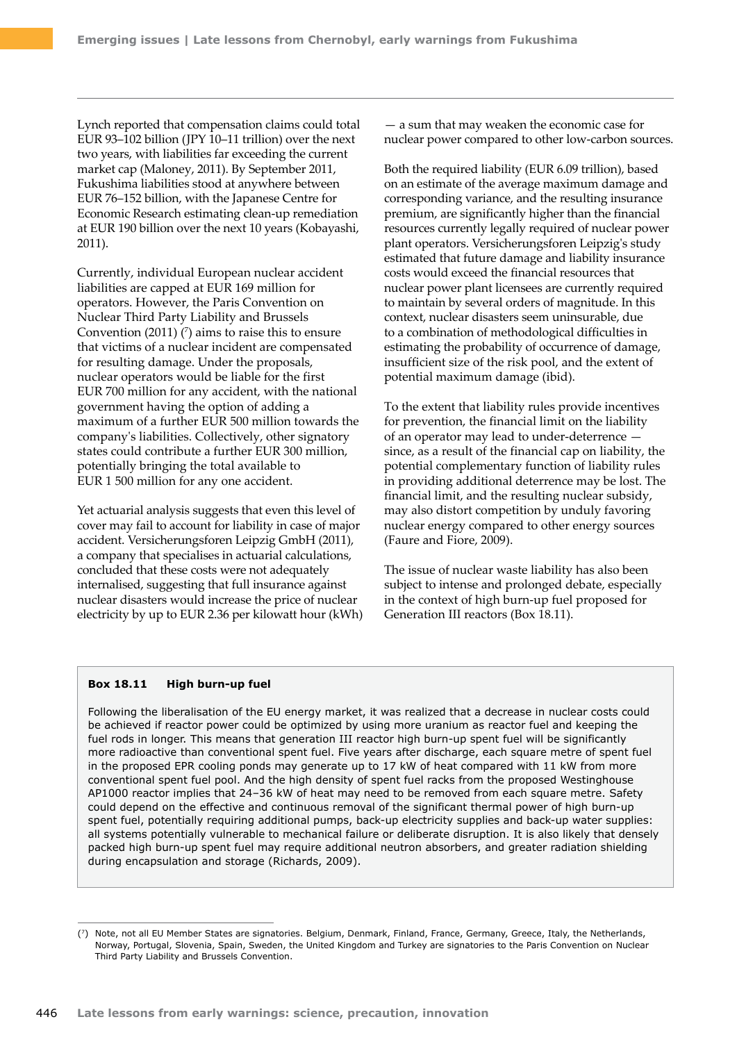Lynch reported that compensation claims could total EUR 93–102 billion (JPY 10–11 trillion) over the next two years, with liabilities far exceeding the current market cap (Maloney, 2011). By September 2011, Fukushima liabilities stood at anywhere between EUR 76–152 billion, with the Japanese Centre for Economic Research estimating clean-up remediation at EUR 190 billion over the next 10 years (Kobayashi, 2011).

Currently, individual European nuclear accident liabilities are capped at EUR 169 million for operators. However, the Paris Convention on Nuclear Third Party Liability and Brussels Convention (2011)  $(7)$  aims to raise this to ensure that victims of a nuclear incident are compensated for resulting damage. Under the proposals, nuclear operators would be liable for the first EUR 700 million for any accident, with the national government having the option of adding a maximum of a further EUR 500 million towards the company's liabilities. Collectively, other signatory states could contribute a further EUR 300 million, potentially bringing the total available to EUR 1 500 million for any one accident.

Yet actuarial analysis suggests that even this level of cover may fail to account for liability in case of major accident. Versicherungsforen Leipzig GmbH (2011), a company that specialises in actuarial calculations, concluded that these costs were not adequately internalised, suggesting that full insurance against nuclear disasters would increase the price of nuclear electricity by up to EUR 2.36 per kilowatt hour (kWh)

— a sum that may weaken the economic case for nuclear power compared to other low-carbon sources.

Both the required liability (EUR 6.09 trillion), based on an estimate of the average maximum damage and corresponding variance, and the resulting insurance premium, are significantly higher than the financial resources currently legally required of nuclear power plant operators. Versicherungsforen Leipzig's study estimated that future damage and liability insurance costs would exceed the financial resources that nuclear power plant licensees are currently required to maintain by several orders of magnitude. In this context, nuclear disasters seem uninsurable, due to a combination of methodological difficulties in estimating the probability of occurrence of damage, insufficient size of the risk pool, and the extent of potential maximum damage (ibid).

To the extent that liability rules provide incentives for prevention, the financial limit on the liability of an operator may lead to under-deterrence since, as a result of the financial cap on liability, the potential complementary function of liability rules in providing additional deterrence may be lost. The financial limit, and the resulting nuclear subsidy, may also distort competition by unduly favoring nuclear energy compared to other energy sources (Faure and Fiore, 2009).

The issue of nuclear waste liability has also been subject to intense and prolonged debate, especially in the context of high burn-up fuel proposed for Generation III reactors (Box 18.11).

#### **Box 18.11 High burn-up fuel**

Following the liberalisation of the EU energy market, it was realized that a decrease in nuclear costs could be achieved if reactor power could be optimized by using more uranium as reactor fuel and keeping the fuel rods in longer. This means that generation III reactor high burn-up spent fuel will be significantly more radioactive than conventional spent fuel. Five years after discharge, each square metre of spent fuel in the proposed EPR cooling ponds may generate up to 17 kW of heat compared with 11 kW from more conventional spent fuel pool. And the high density of spent fuel racks from the proposed Westinghouse AP1000 reactor implies that 24–36 kW of heat may need to be removed from each square metre. Safety could depend on the effective and continuous removal of the significant thermal power of high burn-up spent fuel, potentially requiring additional pumps, back-up electricity supplies and back-up water supplies: all systems potentially vulnerable to mechanical failure or deliberate disruption. It is also likely that densely packed high burn-up spent fuel may require additional neutron absorbers, and greater radiation shielding during encapsulation and storage (Richards, 2009).

<sup>(7)</sup> Note, not all EU Member States are signatories. Belgium, Denmark, Finland, France, Germany, Greece, Italy, the Netherlands, Norway, Portugal, Slovenia, Spain, Sweden, the United Kingdom and Turkey are signatories to the Paris Convention on Nuclear Third Party Liability and Brussels Convention.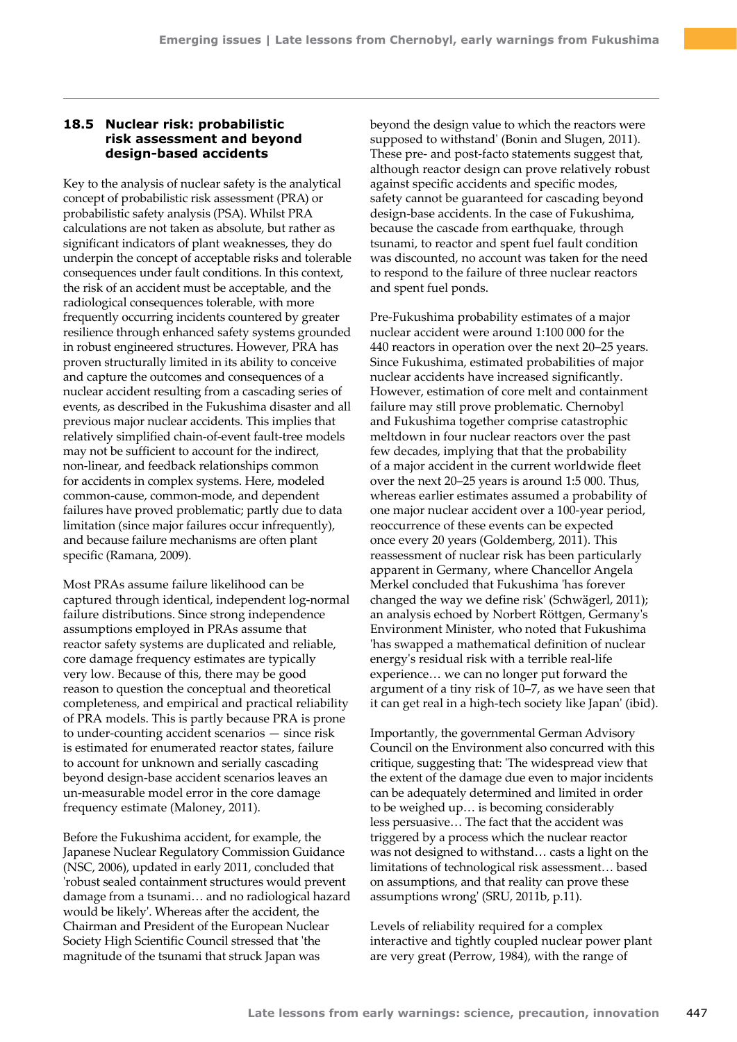## **18.5 Nuclear risk: probabilistic risk assessment and beyond design-based accidents**

Key to the analysis of nuclear safety is the analytical concept of probabilistic risk assessment (PRA) or probabilistic safety analysis (PSA). Whilst PRA calculations are not taken as absolute, but rather as significant indicators of plant weaknesses, they do underpin the concept of acceptable risks and tolerable consequences under fault conditions. In this context, the risk of an accident must be acceptable, and the radiological consequences tolerable, with more frequently occurring incidents countered by greater resilience through enhanced safety systems grounded in robust engineered structures. However, PRA has proven structurally limited in its ability to conceive and capture the outcomes and consequences of a nuclear accident resulting from a cascading series of events, as described in the Fukushima disaster and all previous major nuclear accidents. This implies that relatively simplified chain-of-event fault-tree models may not be sufficient to account for the indirect, non-linear, and feedback relationships common for accidents in complex systems. Here, modeled common-cause, common-mode, and dependent failures have proved problematic; partly due to data limitation (since major failures occur infrequently), and because failure mechanisms are often plant specific (Ramana, 2009).

Most PRAs assume failure likelihood can be captured through identical, independent log-normal failure distributions. Since strong independence assumptions employed in PRAs assume that reactor safety systems are duplicated and reliable, core damage frequency estimates are typically very low. Because of this, there may be good reason to question the conceptual and theoretical completeness, and empirical and practical reliability of PRA models. This is partly because PRA is prone to under-counting accident scenarios — since risk is estimated for enumerated reactor states, failure to account for unknown and serially cascading beyond design-base accident scenarios leaves an un-measurable model error in the core damage frequency estimate (Maloney, 2011).

Before the Fukushima accident, for example, the Japanese Nuclear Regulatory Commission Guidance (NSC, 2006), updated in early 2011, concluded that 'robust sealed containment structures would prevent damage from a tsunami… and no radiological hazard would be likely'. Whereas after the accident, the Chairman and President of the European Nuclear Society High Scientific Council stressed that 'the magnitude of the tsunami that struck Japan was

beyond the design value to which the reactors were supposed to withstand' (Bonin and Slugen, 2011). These pre- and post-facto statements suggest that, although reactor design can prove relatively robust against specific accidents and specific modes, safety cannot be guaranteed for cascading beyond design-base accidents. In the case of Fukushima, because the cascade from earthquake, through tsunami, to reactor and spent fuel fault condition was discounted, no account was taken for the need to respond to the failure of three nuclear reactors and spent fuel ponds.

Pre-Fukushima probability estimates of a major nuclear accident were around 1:100 000 for the 440 reactors in operation over the next 20–25 years. Since Fukushima, estimated probabilities of major nuclear accidents have increased significantly. However, estimation of core melt and containment failure may still prove problematic. Chernobyl and Fukushima together comprise catastrophic meltdown in four nuclear reactors over the past few decades, implying that that the probability of a major accident in the current worldwide fleet over the next 20–25 years is around 1:5 000. Thus, whereas earlier estimates assumed a probability of one major nuclear accident over a 100-year period, reoccurrence of these events can be expected once every 20 years (Goldemberg, 2011). This reassessment of nuclear risk has been particularly apparent in Germany, where Chancellor Angela Merkel concluded that Fukushima 'has forever changed the way we define risk' (Schwägerl, 2011); an analysis echoed by Norbert Röttgen, Germany's Environment Minister, who noted that Fukushima 'has swapped a mathematical definition of nuclear energy's residual risk with a terrible real-life experience… we can no longer put forward the argument of a tiny risk of 10–7, as we have seen that it can get real in a high-tech society like Japan' (ibid).

Importantly, the governmental German Advisory Council on the Environment also concurred with this critique, suggesting that: 'The widespread view that the extent of the damage due even to major incidents can be adequately determined and limited in order to be weighed up… is becoming considerably less persuasive… The fact that the accident was triggered by a process which the nuclear reactor was not designed to withstand… casts a light on the limitations of technological risk assessment… based on assumptions, and that reality can prove these assumptions wrong' (SRU, 2011b, p.11).

Levels of reliability required for a complex interactive and tightly coupled nuclear power plant are very great (Perrow, 1984), with the range of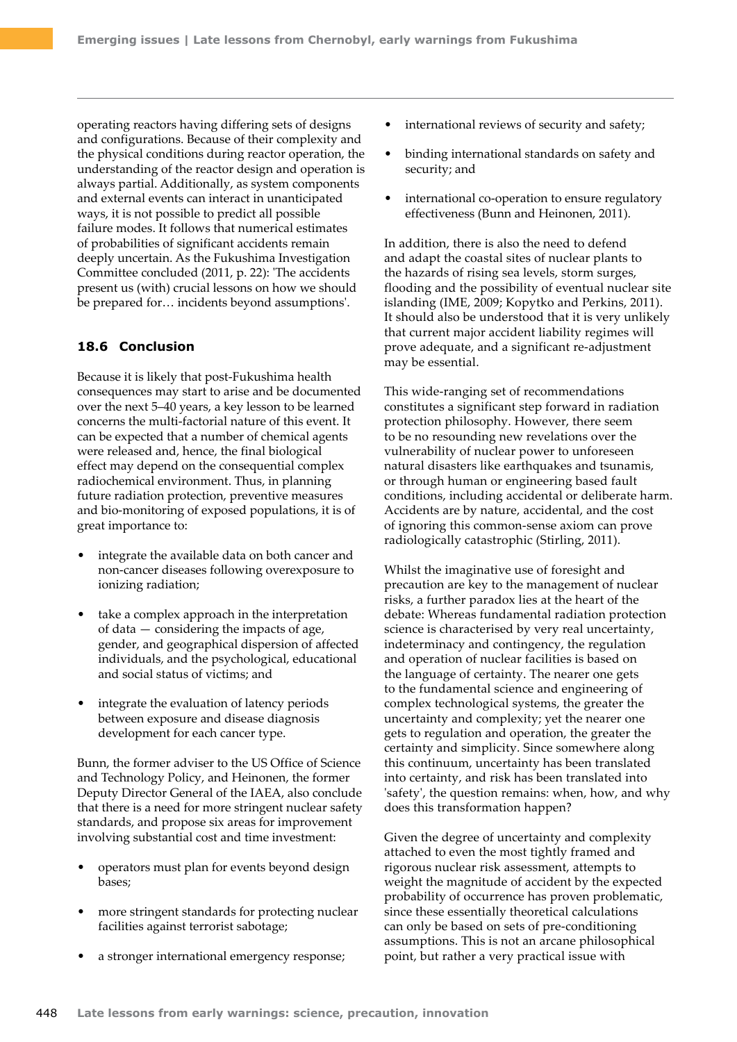operating reactors having differing sets of designs and configurations. Because of their complexity and the physical conditions during reactor operation, the understanding of the reactor design and operation is always partial. Additionally, as system components and external events can interact in unanticipated ways, it is not possible to predict all possible failure modes. It follows that numerical estimates of probabilities of significant accidents remain deeply uncertain. As the Fukushima Investigation Committee concluded (2011, p. 22): 'The accidents present us (with) crucial lessons on how we should be prepared for… incidents beyond assumptions'.

## **18.6 Conclusion**

Because it is likely that post-Fukushima health consequences may start to arise and be documented over the next 5–40 years, a key lesson to be learned concerns the multi-factorial nature of this event. It can be expected that a number of chemical agents were released and, hence, the final biological effect may depend on the consequential complex radiochemical environment. Thus, in planning future radiation protection, preventive measures and bio-monitoring of exposed populations, it is of great importance to:

- integrate the available data on both cancer and non-cancer diseases following overexposure to ionizing radiation;
- take a complex approach in the interpretation of data — considering the impacts of age, gender, and geographical dispersion of affected individuals, and the psychological, educational and social status of victims; and
- integrate the evaluation of latency periods between exposure and disease diagnosis development for each cancer type.

Bunn, the former adviser to the US Office of Science and Technology Policy, and Heinonen, the former Deputy Director General of the IAEA, also conclude that there is a need for more stringent nuclear safety standards, and propose six areas for improvement involving substantial cost and time investment:

- operators must plan for events beyond design bases;
- more stringent standards for protecting nuclear facilities against terrorist sabotage;
- a stronger international emergency response;
- international reviews of security and safety;
- binding international standards on safety and security; and
- international co-operation to ensure regulatory effectiveness (Bunn and Heinonen, 2011).

In addition, there is also the need to defend and adapt the coastal sites of nuclear plants to the hazards of rising sea levels, storm surges, flooding and the possibility of eventual nuclear site islanding (IME, 2009; Kopytko and Perkins, 2011). It should also be understood that it is very unlikely that current major accident liability regimes will prove adequate, and a significant re-adjustment may be essential.

This wide-ranging set of recommendations constitutes a significant step forward in radiation protection philosophy. However, there seem to be no resounding new revelations over the vulnerability of nuclear power to unforeseen natural disasters like earthquakes and tsunamis, or through human or engineering based fault conditions, including accidental or deliberate harm. Accidents are by nature, accidental, and the cost of ignoring this common-sense axiom can prove radiologically catastrophic (Stirling, 2011).

Whilst the imaginative use of foresight and precaution are key to the management of nuclear risks, a further paradox lies at the heart of the debate: Whereas fundamental radiation protection science is characterised by very real uncertainty, indeterminacy and contingency, the regulation and operation of nuclear facilities is based on the language of certainty. The nearer one gets to the fundamental science and engineering of complex technological systems, the greater the uncertainty and complexity; yet the nearer one gets to regulation and operation, the greater the certainty and simplicity. Since somewhere along this continuum, uncertainty has been translated into certainty, and risk has been translated into 'safety', the question remains: when, how, and why does this transformation happen?

Given the degree of uncertainty and complexity attached to even the most tightly framed and rigorous nuclear risk assessment, attempts to weight the magnitude of accident by the expected probability of occurrence has proven problematic, since these essentially theoretical calculations can only be based on sets of pre-conditioning assumptions. This is not an arcane philosophical point, but rather a very practical issue with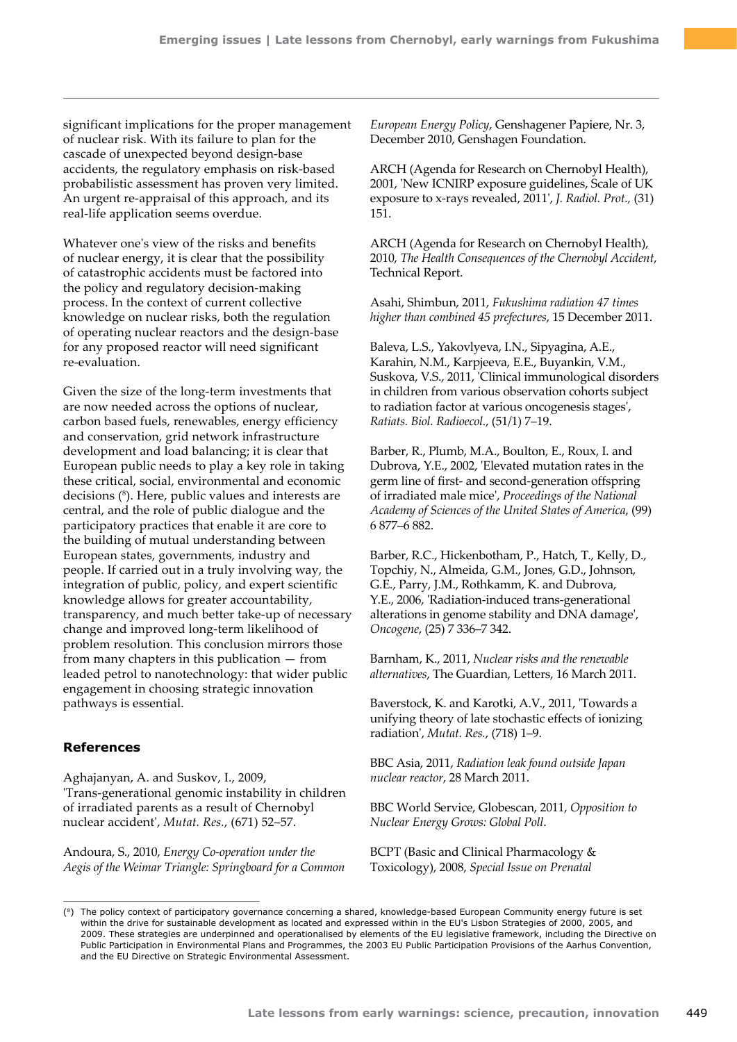significant implications for the proper management of nuclear risk. With its failure to plan for the cascade of unexpected beyond design-base accidents, the regulatory emphasis on risk-based probabilistic assessment has proven very limited. An urgent re-appraisal of this approach, and its real-life application seems overdue.

Whatever one's view of the risks and benefits of nuclear energy, it is clear that the possibility of catastrophic accidents must be factored into the policy and regulatory decision-making process. In the context of current collective knowledge on nuclear risks, both the regulation of operating nuclear reactors and the design-base for any proposed reactor will need significant re-evaluation.

Given the size of the long-term investments that are now needed across the options of nuclear, carbon based fuels, renewables, energy efficiency and conservation, grid network infrastructure development and load balancing; it is clear that European public needs to play a key role in taking these critical, social, environmental and economic decisions (8 ). Here, public values and interests are central, and the role of public dialogue and the participatory practices that enable it are core to the building of mutual understanding between European states, governments, industry and people. If carried out in a truly involving way, the integration of public, policy, and expert scientific knowledge allows for greater accountability, transparency, and much better take-up of necessary change and improved long-term likelihood of problem resolution. This conclusion mirrors those from many chapters in this publication — from leaded petrol to nanotechnology: that wider public engagement in choosing strategic innovation pathways is essential.

## **References**

Aghajanyan, A. and Suskov, I., 2009, 'Trans-generational genomic instability in children of irradiated parents as a result of Chernobyl nuclear accident', *Mutat. Res.*, (671) 52–57.

Andoura, S., 2010, *Energy Co-operation under the Aegis of the Weimar Triangle: Springboard for a Common* 

*European Energy Policy*, Genshagener Papiere, Nr. 3, December 2010, Genshagen Foundation.

ARCH (Agenda for Research on Chernobyl Health), 2001, 'New ICNIRP exposure guidelines, Scale of UK exposure to x-rays revealed, 2011', *J. Radiol. Prot.,* (31) 151.

ARCH (Agenda for Research on Chernobyl Health), 2010, *The Health Consequences of the Chernobyl Accident*, Technical Report.

Asahi, Shimbun, 2011, *Fukushima radiation 47 times higher than combined 45 prefectures*, 15 December 2011.

Baleva, L.S., Yakovlyeva, I.N., Sipyagina, A.E., Karahin, N.M., Karpjeeva, E.E., Buyankin, V.M., Suskova, V.S., 2011, 'Clinical immunological disorders in children from various observation cohorts subject to radiation factor at various oncogenesis stages', *Ratiats. Biol. Radioecol.*, (51/1) 7–19.

Barber, R., Plumb, M.A., Boulton, E., Roux, I. and Dubrova, Y.E., 2002, 'Elevated mutation rates in the germ line of first- and second-generation offspring of irradiated male mice', *Proceedings of the National Academy of Sciences of the United States of America*, (99) 6 877–6 882.

Barber, R.C., Hickenbotham, P., Hatch, T., Kelly, D., Topchiy, N., Almeida, G.M., Jones, G.D., Johnson, G.E., Parry, J.M., Rothkamm, K. and Dubrova, Y.E., 2006, 'Radiation-induced trans-generational alterations in genome stability and DNA damage', *Oncogene*, (25) 7 336–7 342.

Barnham, K., 2011, *Nuclear risks and the renewable alternatives*, The Guardian, Letters, 16 March 2011.

Baverstock, K. and Karotki, A.V., 2011, 'Towards a unifying theory of late stochastic effects of ionizing radiation', *Mutat. Res.*, (718) 1–9.

BBC Asia, 2011, *Radiation leak found outside Japan nuclear reactor*, 28 March 2011.

BBC World Service, Globescan, 2011, *Opposition to Nuclear Energy Grows: Global Poll*.

BCPT (Basic and Clinical Pharmacology & Toxicology), 2008, *Special Issue on Prenatal* 

<sup>(8)</sup> The policy context of participatory governance concerning a shared, knowledge-based European Community energy future is set within the drive for sustainable development as located and expressed within in the EU's Lisbon Strategies of 2000, 2005, and 2009. These strategies are underpinned and operationalised by elements of the EU legislative framework, including the Directive on Public Participation in Environmental Plans and Programmes, the 2003 EU Public Participation Provisions of the Aarhus Convention, and the EU Directive on Strategic Environmental Assessment.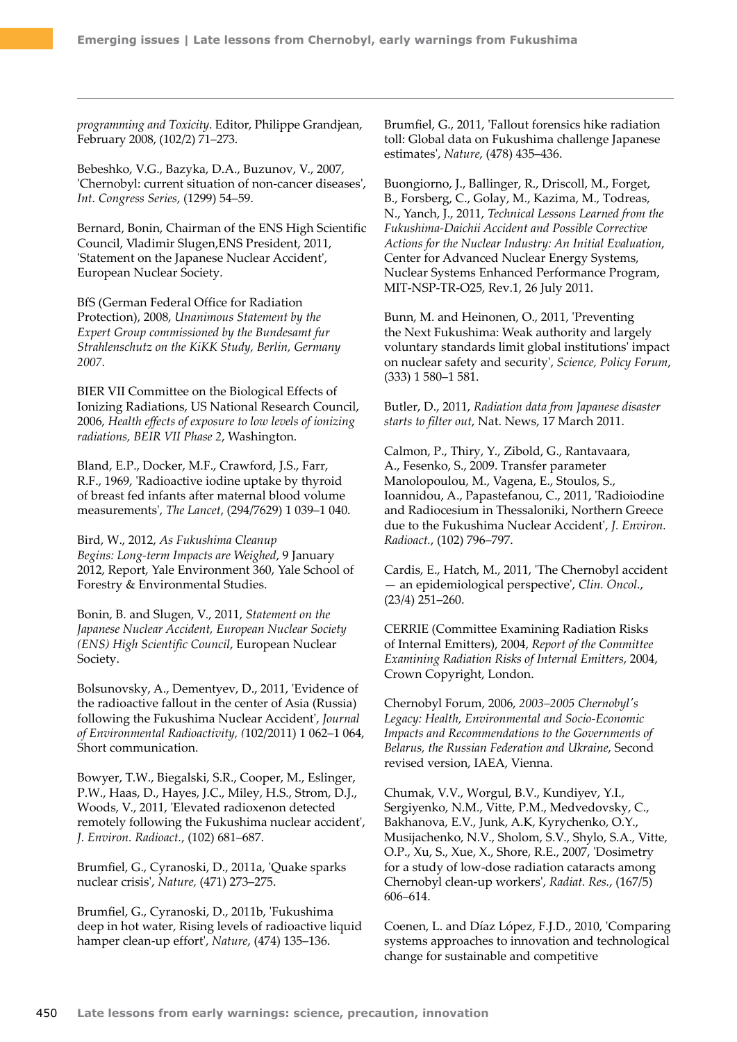*programming and Toxicity*. Editor, Philippe Grandjean, February 2008, (102/2) 71–273.

Bebeshko, V.G., Bazyka, D.A., Buzunov, V., 2007, 'Chernobyl: current situation of non-cancer diseases', *Int. Congress Series*, (1299) 54–59.

Bernard, Bonin, Chairman of the ENS High Scientific Council, Vladimir Slugen,ENS President, 2011, 'Statement on the Japanese Nuclear Accident', European Nuclear Society.

BfS (German Federal Office for Radiation Protection), 2008, *Unanimous Statement by the Expert Group commissioned by the Bundesamt fur Strahlenschutz on the KiKK Study, Berlin, Germany 2007*.

BIER VII Committee on the Biological Effects of Ionizing Radiations, US National Research Council, 2006, *Health effects of exposure to low levels of ionizing radiations, BEIR VII Phase 2*, Washington.

Bland, E.P., Docker, M.F., Crawford, J.S., Farr, R.F., 1969, 'Radioactive iodine uptake by thyroid of breast fed infants after maternal blood volume measurements', *The Lancet*, (294/7629) 1 039–1 040.

Bird, W., 2012, *As Fukushima Cleanup Begins: Long-term Impacts are Weighed*, 9 January 2012, Report, Yale Environment 360, Yale School of Forestry & Environmental Studies.

Bonin, B. and Slugen, V., 2011, *Statement on the Japanese Nuclear Accident, European Nuclear Society (ENS) High Scientific Council*, European Nuclear Society.

Bolsunovsky, A., Dementyev, D., 2011, 'Evidence of the radioactive fallout in the center of Asia (Russia) following the Fukushima Nuclear Accident', *Journal of Environmental Radioactivity, (*102/2011) 1 062–1 064, Short communication.

Bowyer, T.W., Biegalski, S.R., Cooper, M., Eslinger, P.W., Haas, D., Hayes, J.C., Miley, H.S., Strom, D.J., Woods, V., 2011, 'Elevated radioxenon detected remotely following the Fukushima nuclear accident', *J. Environ. Radioact.*, (102) 681–687.

Brumfiel, G., Cyranoski, D., 2011a, 'Quake sparks nuclear crisis', *Nature,* (471) 273–275.

Brumfiel, G., Cyranoski, D., 2011b, 'Fukushima deep in hot water, Rising levels of radioactive liquid hamper clean-up effort', *Nature*, (474) 135–136.

Brumfiel, G., 2011, 'Fallout forensics hike radiation toll: Global data on Fukushima challenge Japanese estimates', *Nature*, (478) 435–436.

Buongiorno, J., Ballinger, R., Driscoll, M., Forget, B., Forsberg, C., Golay, M., Kazima, M., Todreas, N., Yanch, J., 2011, *Technical Lessons Learned from the Fukushima-Daichii Accident and Possible Corrective Actions for the Nuclear Industry: An Initial Evaluation*, Center for Advanced Nuclear Energy Systems, Nuclear Systems Enhanced Performance Program, MIT-NSP-TR-O25, Rev.1, 26 July 2011.

Bunn, M. and Heinonen, O., 2011, 'Preventing the Next Fukushima: Weak authority and largely voluntary standards limit global institutions' impact on nuclear safety and security', *Science, Policy Forum*, (333) 1 580–1 581.

Butler, D., 2011, *Radiation data from Japanese disaster starts to filter out*, Nat. News, 17 March 2011.

Calmon, P., Thiry, Y., Zibold, G., Rantavaara, A., Fesenko, S., 2009. Transfer parameter Manolopoulou, M., Vagena, E., Stoulos, S., Ioannidou, A., Papastefanou, C., 2011, 'Radioiodine and Radiocesium in Thessaloniki, Northern Greece due to the Fukushima Nuclear Accident', *J. Environ. Radioact.*, (102) 796–797.

Cardis, E., Hatch, M., 2011, 'The Chernobyl accident — an epidemiological perspective', *Clin. Oncol.*, (23/4) 251–260.

CERRIE (Committee Examining Radiation Risks of Internal Emitters), 2004, *Report of the Committee Examining Radiation Risks of Internal Emitters*, 2004, Crown Copyright, London.

Chernobyl Forum, 2006, *2003–2005 Chernobyl's Legacy: Health, Environmental and Socio-Economic Impacts and Recommendations to the Governments of Belarus, the Russian Federation and Ukraine*, Second revised version, IAEA, Vienna.

Chumak, V.V., Worgul, B.V., Kundiyev, Y.I., Sergiyenko, N.M., Vitte, P.M., Medvedovsky, C., Bakhanova, E.V., Junk, A.K, Kyrychenko, O.Y., Musijachenko, N.V., Sholom, S.V., Shylo, S.A., Vitte, O.P., Xu, S., Xue, X., Shore, R.E., 2007, 'Dosimetry for a study of low-dose radiation cataracts among Chernobyl clean-up workers', *Radiat. Res.*, (167/5) 606–614.

Coenen, L. and Díaz López, F.J.D., 2010, 'Comparing systems approaches to innovation and technological change for sustainable and competitive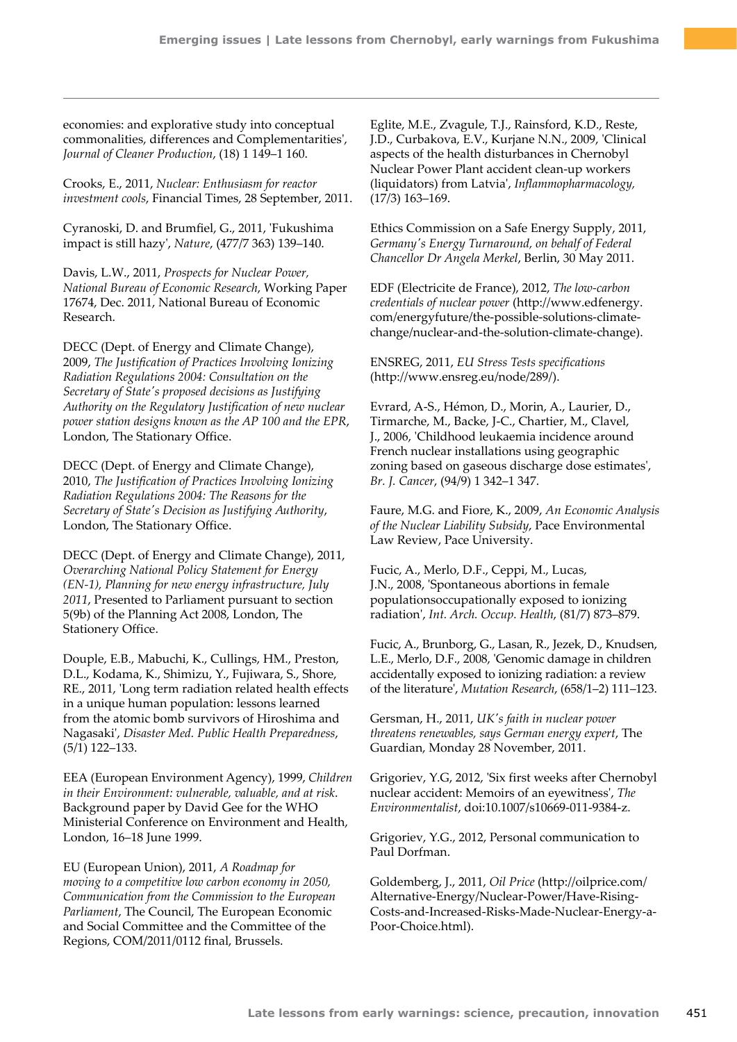economies: and explorative study into conceptual commonalities, differences and Complementarities', *Journal of Cleaner Production*, (18) 1 149–1 160.

Crooks, E., 2011, *Nuclear: Enthusiasm for reactor investment cools*, Financial Times, 28 September, 2011.

Cyranoski, D. and Brumfiel, G., 2011, 'Fukushima impact is still hazy', *Nature*, (477/7 363) 139–140.

Davis, L.W., 2011, *Prospects for Nuclear Power, National Bureau of Economic Research*, Working Paper 17674, Dec. 2011, National Bureau of Economic Research.

DECC (Dept. of Energy and Climate Change), 2009, *The Justification of Practices Involving Ionizing Radiation Regulations 2004: Consultation on the Secretary of State's proposed decisions as Justifying Authority on the Regulatory Justification of new nuclear power station designs known as the AP 100 and the EPR*, London, The Stationary Office.

DECC (Dept. of Energy and Climate Change), 2010, *The Justification of Practices Involving Ionizing Radiation Regulations 2004: The Reasons for the Secretary of State's Decision as Justifying Authority*, London, The Stationary Office.

DECC (Dept. of Energy and Climate Change), 2011, *Overarching National Policy Statement for Energy (EN-1), Planning for new energy infrastructure, July 2011*, Presented to Parliament pursuant to section 5(9b) of the Planning Act 2008, London, The Stationery Office.

Douple, E.B., Mabuchi, K., Cullings, HM., Preston, D.L., Kodama, K., Shimizu, Y., Fujiwara, S., Shore, RE., 2011, 'Long term radiation related health effects in a unique human population: lessons learned from the atomic bomb survivors of Hiroshima and Nagasaki', *Disaster Med. Public Health Preparedness*, (5/1) 122–133.

EEA (European Environment Agency), 1999, *Children in their Environment: vulnerable, valuable, and at risk*. Background paper by David Gee for the WHO Ministerial Conference on Environment and Health, London, 16–18 June 1999.

EU (European Union), 2011, *A Roadmap for moving to a competitive low carbon economy in 2050, Communication from the Commission to the European Parliament*, The Council, The European Economic and Social Committee and the Committee of the Regions, COM/2011/0112 final, Brussels.

Eglite, M.E., Zvagule, T.J., Rainsford, K.D., Reste, J.D., Curbakova, E.V., Kurjane N.N., 2009, 'Clinical aspects of the health disturbances in Chernobyl Nuclear Power Plant accident clean-up workers (liquidators) from Latvia', *Inflammopharmacology,* (17/3) 163–169.

Ethics Commission on a Safe Energy Supply, 2011, *Germany's Energy Turnaround, on behalf of Federal Chancellor Dr Angela Merkel*, Berlin, 30 May 2011.

EDF (Electricite de France), 2012, *The low-carbon credentials of nuclear power* ([http://www.edfenergy.](http://www.edfenergy.com/energyfuture/the-possible-solutions-climate-change/nuclear-and-the-solution-climate-change) [com/energyfuture/the-possible-solutions-climate](http://www.edfenergy.com/energyfuture/the-possible-solutions-climate-change/nuclear-and-the-solution-climate-change)[change/nuclear-and-the-solution-climate-change\)](http://www.edfenergy.com/energyfuture/the-possible-solutions-climate-change/nuclear-and-the-solution-climate-change).

ENSREG, 2011, *EU Stress Tests specifications* [\(http://www.ensreg.eu/node/289/](http://www.ensreg.eu/node/289/)).

Evrard, A-S., Hémon, D., Morin, A., Laurier, D., Tirmarche, M., Backe, J-C., Chartier, M., Clavel, J., 2006, 'Childhood leukaemia incidence around French nuclear installations using geographic zoning based on gaseous discharge dose estimates', *Br. J. Cancer*, (94/9) 1 342–1 347.

Faure, M.G. and Fiore, K., 2009, *An Economic Analysis of the Nuclear Liability Subsidy*, Pace Environmental Law Review, Pace University.

Fucic, A., Merlo, D.F., Ceppi, M., Lucas, J.N., 2008, 'Spontaneous abortions in female populationsoccupationally exposed to ionizing radiation', *Int. Arch. Occup. Health*, (81/7) 873–879.

Fucic, A., Brunborg, G., Lasan, R., Jezek, D., Knudsen, L.E., Merlo, D.F., 2008, 'Genomic damage in children accidentally exposed to ionizing radiation: a review of the literature', *Mutation Research*, (658/1–2) 111–123.

Gersman, H., 2011, *UK's faith in nuclear power threatens renewables, says German energy expert*, The Guardian, Monday 28 November, 2011.

Grigoriev, Y.G, 2012, 'Six first weeks after Chernobyl nuclear accident: Memoirs of an eyewitness', *The Environmentalist*, doi:10.1007/s10669-011-9384-z.

Grigoriev, Y.G., 2012, Personal communication to Paul Dorfman.

Goldemberg, J., 2011, *Oil Price* ([http://oilprice.com/](http://oilprice.com/Alternative-Energy/Nuclear-Power/Have-Rising-Costs-and-Increased-Risks-Made-Nuclear-Energy-a-Poor-Choice.html) [Alternative-Energy/Nuclear-Power/Have-Rising-](http://oilprice.com/Alternative-Energy/Nuclear-Power/Have-Rising-Costs-and-Increased-Risks-Made-Nuclear-Energy-a-Poor-Choice.html)[Costs-and-Increased-Risks-Made-Nuclear-Energy-a-](http://oilprice.com/Alternative-Energy/Nuclear-Power/Have-Rising-Costs-and-Increased-Risks-Made-Nuclear-Energy-a-Poor-Choice.html)[Poor-Choice.html](http://oilprice.com/Alternative-Energy/Nuclear-Power/Have-Rising-Costs-and-Increased-Risks-Made-Nuclear-Energy-a-Poor-Choice.html)).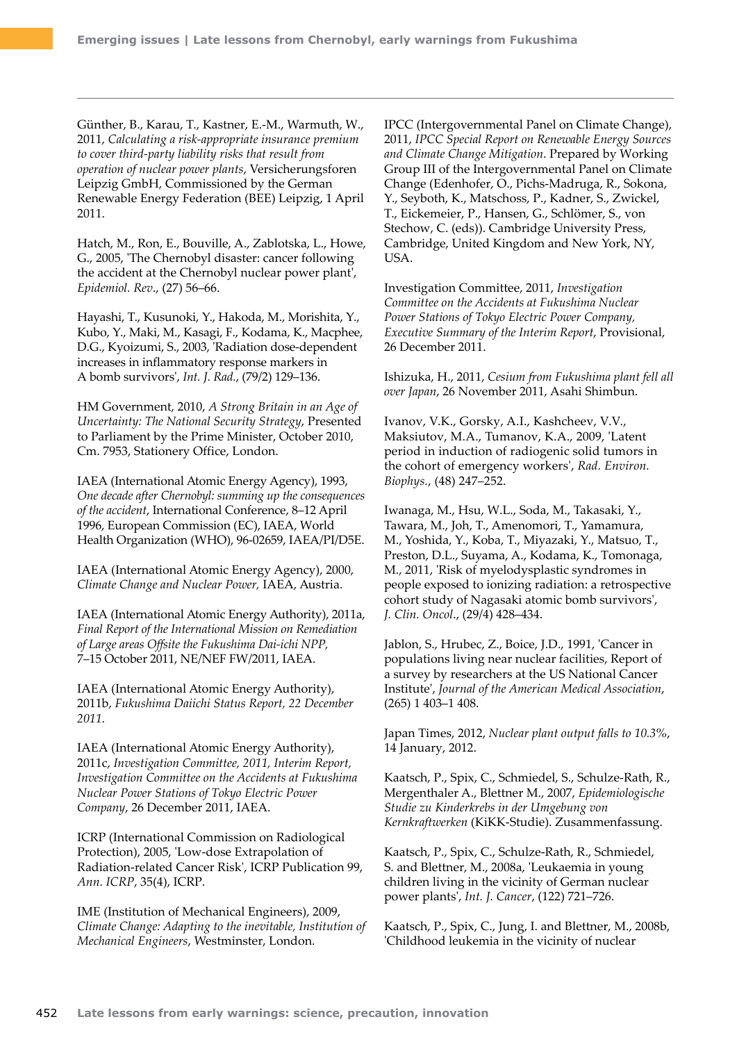Günther, B., Karau, T., Kastner, E.-M., Warmuth, W., 2011, *Calculating a risk-appropriate insurance premium to cover third-party liability risks that result from operation of nuclear power plants*, Versicherungsforen Leipzig GmbH, Commissioned by the German Renewable Energy Federation (BEE) Leipzig, 1 April 2011.

Hatch, M., Ron, E., Bouville, A., Zablotska, L., Howe, G., 2005, 'The Chernobyl disaster: cancer following the accident at the Chernobyl nuclear power plant', *Epidemiol. Rev*., (27) 56–66.

Hayashi, T., Kusunoki, Y., Hakoda, M., Morishita, Y., Kubo, Y., Maki, M., Kasagi, F., Kodama, K., Macphee, D.G., Kyoizumi, S., 2003, 'Radiation dose-dependent increases in inflammatory response markers in A bomb survivors', *Int. J. Rad.*, (79/2) 129–136.

HM Government, 2010, *A Strong Britain in an Age of Uncertainty: The National Security Strategy*, Presented to Parliament by the Prime Minister, October 2010, Cm. 7953, Stationery Office, London.

IAEA (International Atomic Energy Agency), 1993, *One decade after Chernobyl: summing up the consequences of the accident*, International Conference, 8–12 April 1996, European Commission (EC), IAEA, World Health Organization (WHO), 96-02659, IAEA/PI/D5E.

IAEA (International Atomic Energy Agency), 2000, *Climate Change and Nuclear Power,* IAEA, Austria.

IAEA (International Atomic Energy Authority), 2011a, *Final Report of the International Mission on Remediation of Large areas Offsite the Fukushima Dai-ichi NPP,*  7–15 October 2011, NE/NEF FW/2011, IAEA.

IAEA (International Atomic Energy Authority), 2011b, *Fukushima Daiichi Status Report, 22 December 2011*.

IAEA (International Atomic Energy Authority), 2011c, *Investigation Committee, 2011, Interim Report, Investigation Committee on the Accidents at Fukushima Nuclear Power Stations of Tokyo Electric Power Company*, 26 December 2011, IAEA.

ICRP (International Commission on Radiological Protection), 2005, 'Low-dose Extrapolation of Radiation-related Cancer Risk', ICRP Publication 99, *Ann. ICRP*, 35(4), ICRP.

IME (Institution of Mechanical Engineers), 2009, *Climate Change: Adapting to the inevitable, Institution of Mechanical Engineers*, Westminster, London.

IPCC (Intergovernmental Panel on Climate Change), 2011, *IPCC Special Report on Renewable Energy Sources and Climate Change Mitigation*. Prepared by Working Group III of the Intergovernmental Panel on Climate Change (Edenhofer, O., Pichs-Madruga, R., Sokona, Y., Seyboth, K., Matschoss, P., Kadner, S., Zwickel, T., Eickemeier, P., Hansen, G., Schlömer, S., von Stechow, C. (eds)). Cambridge University Press, Cambridge, United Kingdom and New York, NY, USA.

Investigation Committee, 2011, *Investigation Committee on the Accidents at Fukushima Nuclear Power Stations of Tokyo Electric Power Company, Executive Summary of the Interim Report*, Provisional, 26 December 2011.

Ishizuka, H., 2011, *Cesium from Fukushima plant fell all over Japan*, 26 November 2011, Asahi Shimbun.

Ivanov, V.K., Gorsky, A.I., Kashcheev, V.V., Maksiutov, M.A., Tumanov, K.A., 2009, 'Latent period in induction of radiogenic solid tumors in the cohort of emergency workers', *Rad. Environ. Biophys.*, (48) 247–252.

Iwanaga, M., Hsu, W.L., Soda, M., Takasaki, Y., Tawara, M., Joh, T., Amenomori, T., Yamamura, M., Yoshida, Y., Koba, T., Miyazaki, Y., Matsuo, T., Preston, D.L., Suyama, A., Kodama, K., Tomonaga, M., 2011, 'Risk of myelodysplastic syndromes in people exposed to ionizing radiation: a retrospective cohort study of Nagasaki atomic bomb survivors', *J. Clin. Oncol*., (29/4) 428–434.

Jablon, S., Hrubec, Z., Boice, J.D., 1991, 'Cancer in populations living near nuclear facilities, Report of a survey by researchers at the US National Cancer Institute', *Journal of the American Medical Association*, (265) 1 403–1 408.

Japan Times, 2012, *Nuclear plant output falls to 10.3%*, 14 January, 2012.

Kaatsch, P., Spix, C., Schmiedel, S., Schulze-Rath, R., Mergenthaler A., Blettner M., 2007, *Epidemiologische Studie zu Kinderkrebs in der Umgebung von Kernkraftwerken* (KiKK-Studie). Zusammenfassung.

Kaatsch, P., Spix, C., Schulze-Rath, R., Schmiedel, S. and Blettner, M., 2008a, 'Leukaemia in young children living in the vicinity of German nuclear power plants', *Int. J. Cancer*, (122) 721–726.

Kaatsch, P., Spix, C., Jung, I. and Blettner, M., 2008b, 'Childhood leukemia in the vicinity of nuclear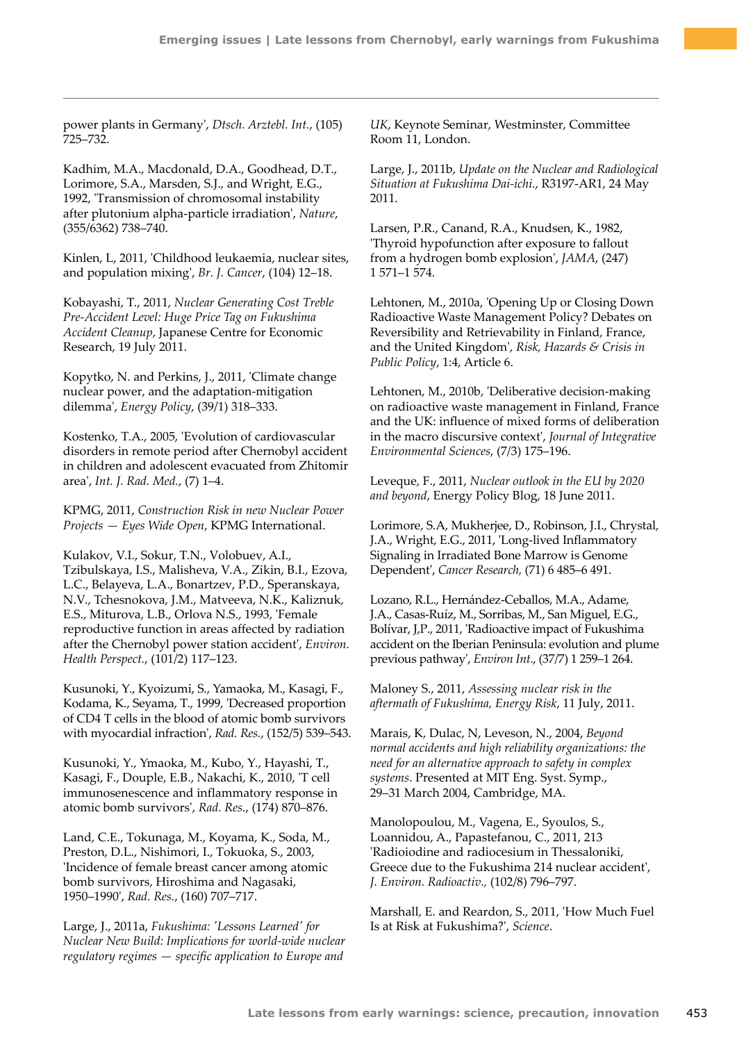power plants in Germany', *Dtsch. Arztebl. Int.*, (105) 725–732.

Kadhim, M.A., Macdonald, D.A., Goodhead, D.T., Lorimore, S.A., Marsden, S.J., and Wright, E.G., 1992, 'Transmission of chromosomal instability after plutonium alpha-particle irradiation', *Nature*, (355/6362) 738–740.

Kinlen, L, 2011, 'Childhood leukaemia, nuclear sites, and population mixing', *Br. J. Cancer*, (104) 12–18.

Kobayashi, T., 2011, *Nuclear Generating Cost Treble Pre-Accident Level: Huge Price Tag on Fukushima Accident Cleanup*, Japanese Centre for Economic Research, 19 July 2011.

Kopytko, N. and Perkins, J., 2011, 'Climate change nuclear power, and the adaptation-mitigation dilemma', *Energy Policy*, (39/1) 318–333.

Kostenko, T.A., 2005, 'Evolution of cardiovascular disorders in remote period after Chernobyl accident in children and adolescent evacuated from Zhitomir area', *Int. J. Rad. Med.*, (7) 1–4.

KPMG, 2011, *Construction Risk in new Nuclear Power Projects — Eyes Wide Open*, KPMG International.

Kulakov, V.I., Sokur, T.N., Volobuev, A.I., Tzibulskaya, I.S., Malisheva, V.A., Zikin, B.I., Ezova, L.C., Belayeva, L.A., Bonartzev, P.D., Speranskaya, N.V., Tchesnokova, J.M., Matveeva, N.K., Kaliznuk, E.S., Miturova, L.B., Orlova N.S., 1993, 'Female reproductive function in areas affected by radiation after the Chernobyl power station accident', *Environ. Health Perspect.*, (101/2) 117–123.

Kusunoki, Y., Kyoizumi, S., Yamaoka, M., Kasagi, F., Kodama, K., Seyama, T., 1999, 'Decreased proportion of CD4 T cells in the blood of atomic bomb survivors with myocardial infraction', *Rad. Res.*, (152/5) 539–543.

Kusunoki, Y., Ymaoka, M., Kubo, Y., Hayashi, T., Kasagi, F., Douple, E.B., Nakachi, K., 2010, 'T cell immunosenescence and inflammatory response in atomic bomb survivors', *Rad. Res.*, (174) 870–876.

Land, C.E., Tokunaga, M., Koyama, K., Soda, M., Preston, D.L., Nishimori, I., Tokuoka, S., 2003, 'Incidence of female breast cancer among atomic bomb survivors, Hiroshima and Nagasaki, 1950–1990', *Rad. Res.*, (160) 707–717.

Large, J., 2011a, *Fukushima: 'Lessons Learned' for Nuclear New Build: Implications for world-wide nuclear regulatory regimes — specific application to Europe and*  *UK*, Keynote Seminar, Westminster, Committee Room 11, London.

Large, J., 2011b, *Update on the Nuclear and Radiological Situation at Fukushima Dai-ichi.*, R3197-AR1, 24 May 2011.

Larsen, P.R., Canand, R.A., Knudsen, K., 1982, 'Thyroid hypofunction after exposure to fallout from a hydrogen bomb explosion', *JAMA*, (247) 1 571–1 574.

Lehtonen, M., 2010a, 'Opening Up or Closing Down Radioactive Waste Management Policy? Debates on Reversibility and Retrievability in Finland, France, and the United Kingdom', *Risk, Hazards & Crisis in Public Policy*, 1:4, Article 6.

Lehtonen, M., 2010b, 'Deliberative decision-making on radioactive waste management in Finland, France and the UK: influence of mixed forms of deliberation in the macro discursive context', *Journal of Integrative Environmental Sciences*, (7/3) 175–196.

Leveque, F., 2011, *Nuclear outlook in the EU by 2020 and beyond*, Energy Policy Blog, 18 June 2011.

Lorimore, S.A, Mukherjee, D., Robinson, J.I., Chrystal, J.A., Wright, E.G., 2011, 'Long-lived Inflammatory Signaling in Irradiated Bone Marrow is Genome Dependent', *Cancer Research,* (71) 6 485–6 491.

Lozano, R.L., Hernández-Ceballos, M.A., Adame, J.A., Casas-Ruíz, M., Sorribas, M., San Miguel, E.G., Bolívar, J,P., 2011, 'Radioactive impact of Fukushima accident on the Iberian Peninsula: evolution and plume previous pathway', *Environ Int*., (37/7) 1 259–1 264.

Maloney S., 2011, *Assessing nuclear risk in the aftermath of Fukushima, Energy Risk*, 11 July, 2011.

Marais, K, Dulac, N, Leveson, N., 2004, *Beyond normal accidents and high reliability organizations: the need for an alternative approach to safety in complex systems*. Presented at MIT Eng. Syst. Symp., 29–31 March 2004, Cambridge, MA.

Manolopoulou, M., Vagena, E., Syoulos, S., Loannidou, A., Papastefanou, C., 2011, 213 'Radioiodine and radiocesium in Thessaloniki, Greece due to the Fukushima 214 nuclear accident', *J. Environ. Radioactiv.,* (102/8) 796–797.

Marshall, E. and Reardon, S., 2011, 'How Much Fuel Is at Risk at Fukushima?', *Science*.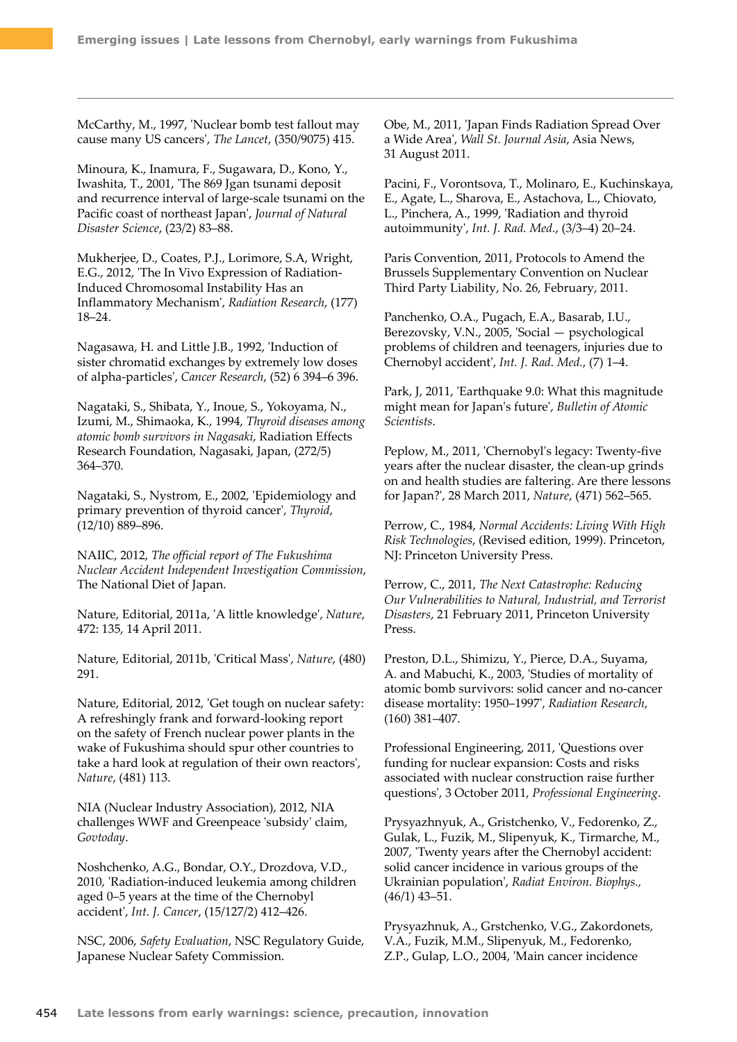McCarthy, M., 1997, 'Nuclear bomb test fallout may cause many US cancers', *The Lancet*, (350/9075) 415.

Minoura, K., Inamura, F., Sugawara, D., Kono, Y., Iwashita, T., 2001, 'The 869 Jgan tsunami deposit and recurrence interval of large-scale tsunami on the Pacific coast of northeast Japan', *Journal of Natural Disaster Science*, (23/2) 83–88.

Mukherjee, D., Coates, P.J., Lorimore, S.A, Wright, E.G., 2012, 'The In Vivo Expression of Radiation-Induced Chromosomal Instability Has an Inflammatory Mechanism', *Radiation Research*, (177) 18–24.

Nagasawa, H. and Little J.B., 1992, 'Induction of sister chromatid exchanges by extremely low doses of alpha-particles', *Cancer Research*, (52) 6 394–6 396.

Nagataki, S., Shibata, Y., Inoue, S., Yokoyama, N., Izumi, M., Shimaoka, K., 1994, *Thyroid diseases among atomic bomb survivors in Nagasaki*, Radiation Effects Research Foundation, Nagasaki, Japan, (272/5) 364–370.

Nagataki, S., Nystrom, E., 2002, 'Epidemiology and primary prevention of thyroid cancer', *Thyroid*, (12/10) 889–896.

NAIIC, 2012, *The official report of The Fukushima Nuclear Accident Independent Investigation Commission*, The National Diet of Japan.

Nature, Editorial, 2011a, 'A little knowledge', *Nature*, 472: 135, 14 April 2011.

Nature, Editorial, 2011b, 'Critical Mass', *Nature*, (480) 291.

Nature, Editorial, 2012, 'Get tough on nuclear safety: A refreshingly frank and forward-looking report on the safety of French nuclear power plants in the wake of Fukushima should spur other countries to take a hard look at regulation of their own reactors', *Nature*, (481) 113.

NIA (Nuclear Industry Association), 2012, NIA challenges WWF and Greenpeace 'subsidy' claim, *Govtoday*.

Noshchenko, A.G., Bondar, O.Y., Drozdova, V.D., 2010, 'Radiation-induced leukemia among children aged 0–5 years at the time of the Chernobyl accident', *Int. J. Cancer*, (15/127/2) 412–426.

NSC, 2006, *Safety Evaluation*, NSC Regulatory Guide, Japanese Nuclear Safety Commission.

Obe, M., 2011, 'Japan Finds Radiation Spread Over a Wide Area', *Wall St. Journal Asia*, Asia News, 31 August 2011.

Pacini, F., Vorontsova, T., Molinaro, E., Kuchinskaya, E., Agate, L., Sharova, E., Astachova, L., Chiovato, L., Pinchera, A., 1999, 'Radiation and thyroid autoimmunity', *Int. J. Rad. Med.*, (3/3–4) 20–24.

Paris Convention, 2011, Protocols to Amend the Brussels Supplementary Convention on Nuclear Third Party Liability, No. 26, February, 2011.

Panchenko, O.A., Pugach, E.A., Basarab, I.U., Berezovsky, V.N., 2005, 'Social — psychological problems of children and teenagers, injuries due to Chernobyl accident', *Int. J. Rad. Med.*, (7) 1–4.

Park, J, 2011, 'Earthquake 9.0: What this magnitude might mean for Japan's future', *Bulletin of Atomic Scientists*.

Peplow, M., 2011, 'Chernobyl's legacy: Twenty-five years after the nuclear disaster, the clean-up grinds on and health studies are faltering. Are there lessons for Japan?', 28 March 2011, *Nature*, (471) 562–565.

Perrow, C., 1984, *Normal Accidents: Living With High Risk Technologies*, (Revised edition, 1999). Princeton, NJ: Princeton University Press.

Perrow, C., 2011, *The Next Catastrophe: Reducing Our Vulnerabilities to Natural, Industrial, and Terrorist Disasters*, 21 February 2011, Princeton University Press.

Preston, D.L., Shimizu, Y., Pierce, D.A., Suyama, A. and Mabuchi, K., 2003, 'Studies of mortality of atomic bomb survivors: solid cancer and no-cancer disease mortality: 1950–1997', *Radiation Research*, (160) 381–407.

Professional Engineering, 2011, 'Questions over funding for nuclear expansion: Costs and risks associated with nuclear construction raise further questions', 3 October 2011, *Professional Engineering*.

Prysyazhnyuk, A., Gristchenko, V., Fedorenko, Z., Gulak, L., Fuzik, M., Slipenyuk, K., Tirmarche, M., 2007, 'Twenty years after the Chernobyl accident: solid cancer incidence in various groups of the Ukrainian population', *Radiat Environ. Biophys.,* (46/1) 43–51.

Prysyazhnuk, A., Grstchenko, V.G., Zakordonets, V.A., Fuzik, M.M., Slipenyuk, M., Fedorenko, Z.P., Gulap, L.O., 2004, 'Main cancer incidence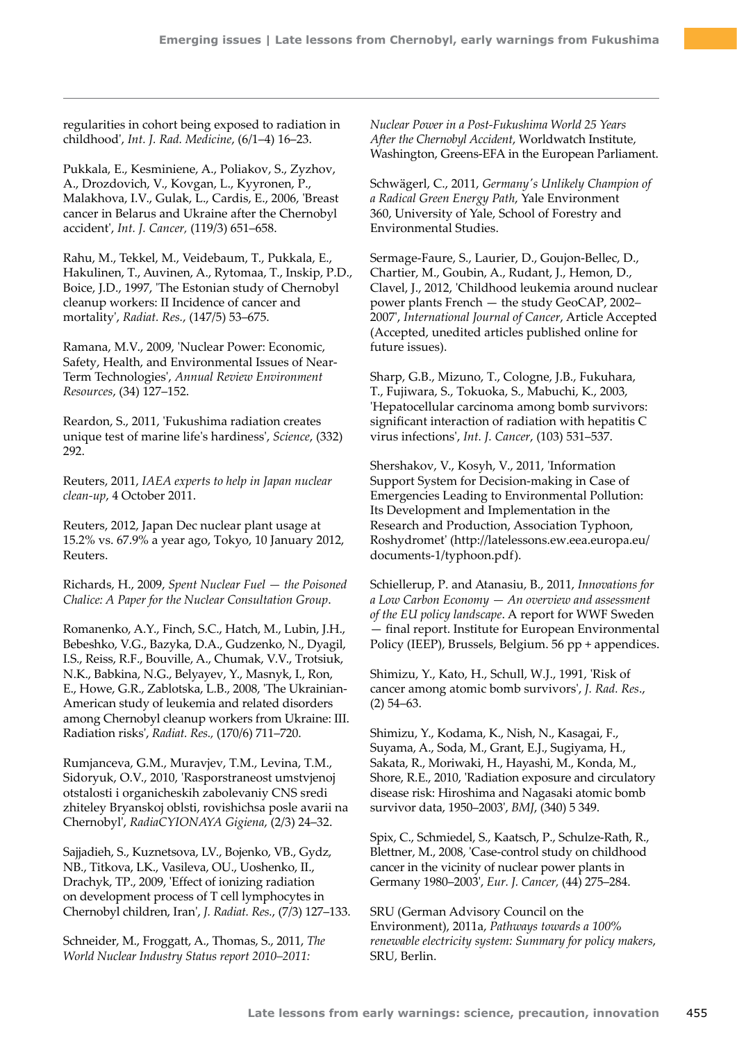regularities in cohort being exposed to radiation in childhood', *Int. J. Rad. Medicine*, (6/1–4) 16–23.

Pukkala, E., Kesminiene, A., Poliakov, S., Zyzhov, A., Drozdovich, V., Kovgan, L., Kyyronen, P., Malakhova, I.V., Gulak, L., Cardis, E., 2006, 'Breast cancer in Belarus and Ukraine after the Chernobyl accident', *Int. J. Cancer,* (119/3) 651–658.

Rahu, M., Tekkel, M., Veidebaum, T., Pukkala, E., Hakulinen, T., Auvinen, A., Rytomaa, T., Inskip, P.D., Boice, J.D., 1997, 'The Estonian study of Chernobyl cleanup workers: II Incidence of cancer and mortality', *Radiat. Res.*, (147/5) 53–675.

Ramana, M.V., 2009, 'Nuclear Power: Economic, Safety, Health, and Environmental Issues of Near-Term Technologies', *Annual Review Environment Resources*, (34) 127–152.

Reardon, S., 2011, 'Fukushima radiation creates unique test of marine life's hardiness', *Science*, (332) 292.

Reuters, 2011, *IAEA experts to help in Japan nuclear clean-up*, 4 October 2011.

Reuters, 2012, Japan Dec nuclear plant usage at 15.2% vs. 67.9% a year ago, Tokyo, 10 January 2012, Reuters.

Richards, H., 2009, *Spent Nuclear Fuel — the Poisoned Chalice: A Paper for the Nuclear Consultation Group*.

Romanenko, A.Y., Finch, S.C., Hatch, M., Lubin, J.H., Bebeshko, V.G., Bazyka, D.A., Gudzenko, N., Dyagil, I.S., Reiss, R.F., Bouville, A., Chumak, V.V., Trotsiuk, N.K., Babkina, N.G., Belyayev, Y., Masnyk, I., Ron, E., Howe, G.R., Zablotska, L.B., 2008, 'The Ukrainian-American study of leukemia and related disorders among Chernobyl cleanup workers from Ukraine: III. Radiation risks', *Radiat. Res.,* (170/6) 711–720.

Rumjanceva, G.M., Muravjev, T.M., Levina, T.M., Sidoryuk, O.V., 2010, 'Rasporstraneost umstvjenoj otstalosti i organicheskih zabolevaniy CNS sredi zhiteley Bryanskoj oblsti, rovishichsa posle avarii na Chernobyl', *RadiaCYIONAYA Gigiena*, (2/3) 24–32.

Sajjadieh, S., Kuznetsova, LV., Bojenko, VB., Gydz, NB., Titkova, LK., Vasileva, OU., Uoshenko, II., Drachyk, TP., 2009, 'Effect of ionizing radiation on development process of T cell lymphocytes in Chernobyl children, Iran', *J. Radiat. Res.*, (7/3) 127–133.

Schneider, M., Froggatt, A., Thomas, S., 2011, *The World Nuclear Industry Status report 2010–2011:* 

*Nuclear Power in a Post-Fukushima World 25 Years After the Chernobyl Accident*, Worldwatch Institute, Washington, Greens-EFA in the European Parliament.

Schwägerl, C., 2011, *Germany's Unlikely Champion of a Radical Green Energy Path*, Yale Environment 360, University of Yale, School of Forestry and Environmental Studies.

Sermage-Faure, S., Laurier, D., Goujon-Bellec, D., Chartier, M., Goubin, A., Rudant, J., Hemon, D., Clavel, J., 2012, 'Childhood leukemia around nuclear power plants French — the study GeoCAP, 2002– 2007', *International Journal of Cancer*, Article Accepted (Accepted, unedited articles published online for future issues).

Sharp, G.B., Mizuno, T., Cologne, J.B., Fukuhara, T., Fujiwara, S., Tokuoka, S., Mabuchi, K., 2003, 'Hepatocellular carcinoma among bomb survivors: significant interaction of radiation with hepatitis C virus infections', *Int. J. Cancer*, (103) 531–537.

Shershakov, V., Kosyh, V., 2011, 'Information Support System for Decision-making in Case of Emergencies Leading to Environmental Pollution: Its Development and Implementation in the Research and Production, Association Typhoon, Roshydromet' [\(http://latelessons.ew.eea.europa.eu/](http://latelessons.ew.eea.europa.eu/documents-1/typhoon.pdf) [documents-1/typhoon.pdf\)](http://latelessons.ew.eea.europa.eu/documents-1/typhoon.pdf).

Schiellerup, P. and Atanasiu, B., 2011, *Innovations for a Low Carbon Economy — An overview and assessment of the EU policy landscape*. A report for WWF Sweden — final report. Institute for European Environmental Policy (IEEP), Brussels, Belgium. 56 pp + appendices.

Shimizu, Y., Kato, H., Schull, W.J., 1991, 'Risk of cancer among atomic bomb survivors', *J. Rad. Res*., (2) 54–63.

Shimizu, Y., Kodama, K., Nish, N., Kasagai, F., Suyama, A., Soda, M., Grant, E.J., Sugiyama, H., Sakata, R., Moriwaki, H., Hayashi, M., Konda, M., Shore, R.E., 2010, 'Radiation exposure and circulatory disease risk: Hiroshima and Nagasaki atomic bomb survivor data, 1950–2003', *BMJ*, (340) 5 349.

Spix, C., Schmiedel, S., Kaatsch, P., Schulze-Rath, R., Blettner, M., 2008, 'Case-control study on childhood cancer in the vicinity of nuclear power plants in Germany 1980–2003', *Eur. J. Cancer,* (44) 275–284.

SRU (German Advisory Council on the Environment), 2011a, *Pathways towards a 100% renewable electricity system: Summary for policy makers*, SRU, Berlin.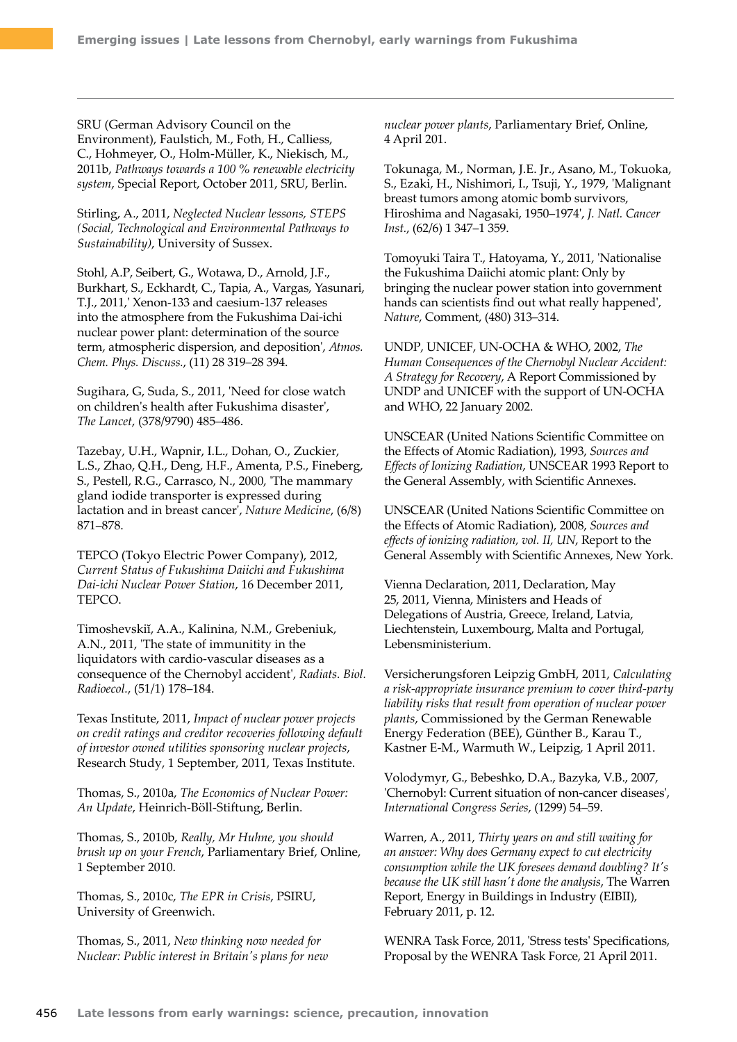SRU (German Advisory Council on the Environment), Faulstich, M., Foth, H., Calliess, C., Hohmeyer, O., Holm-Müller, K., Niekisch, M., 2011b, *Pathways towards a 100 % renewable electricity system*, Special Report, October 2011, SRU, Berlin.

Stirling, A., 2011, *Neglected Nuclear lessons, STEPS (Social, Technological and Environmental Pathways to Sustainability)*, University of Sussex.

Stohl, A.P, Seibert, G., Wotawa, D., Arnold, J.F., Burkhart, S., Eckhardt, C., Tapia, A., Vargas, Yasunari, T.J., 2011,' Xenon-133 and caesium-137 releases into the atmosphere from the Fukushima Dai-ichi nuclear power plant: determination of the source term, atmospheric dispersion, and deposition', *Atmos. Chem. Phys. Discuss.*, (11) 28 319–28 394.

Sugihara, G, Suda, S., 2011, 'Need for close watch on children's health after Fukushima disaster', *The Lancet*, (378/9790) 485–486.

Tazebay, U.H., Wapnir, I.L., Dohan, O., Zuckier, L.S., Zhao, Q.H., Deng, H.F., Amenta, P.S., Fineberg, S., Pestell, R.G., Carrasco, N., 2000, 'The mammary gland iodide transporter is expressed during lactation and in breast cancer', *Nature Medicine*, (6/8) 871–878.

TEPCO (Tokyo Electric Power Company), 2012, *Current Status of Fukushima Daiichi and Fukushima Dai-ichi Nuclear Power Station*, 16 December 2011, TEPCO.

Timoshevskiĭ, A.A., Kalinina, N.M., Grebeniuk, A.N., 2011, 'The state of immunitity in the liquidators with cardio-vascular diseases as a consequence of the Chernobyl accident', *Radiats. Biol. Radioecol.*, (51/1) 178–184.

Texas Institute, 2011, *Impact of nuclear power projects on credit ratings and creditor recoveries following default of investor owned utilities sponsoring nuclear projects*, Research Study, 1 September, 2011, Texas Institute.

Thomas, S., 2010a, *The Economics of Nuclear Power: An Update*, Heinrich-Böll-Stiftung, Berlin.

Thomas, S., 2010b, *Really, Mr Huhne, you should brush up on your French*, Parliamentary Brief, Online, 1 September 2010.

Thomas, S., 2010c, *The EPR in Crisis*, PSIRU, University of Greenwich.

Thomas, S., 2011, *New thinking now needed for Nuclear: Public interest in Britain's plans for new*  *nuclear power plants*, Parliamentary Brief, Online, 4 April 201.

Tokunaga, M., Norman, J.E. Jr., Asano, M., Tokuoka, S., Ezaki, H., Nishimori, I., Tsuji, Y., 1979, 'Malignant breast tumors among atomic bomb survivors, Hiroshima and Nagasaki, 1950–1974', *J. Natl. Cancer Inst.*, (62/6) 1 347–1 359.

Tomoyuki Taira T., Hatoyama, Y., 2011, 'Nationalise the Fukushima Daiichi atomic plant: Only by bringing the nuclear power station into government hands can scientists find out what really happened', *Nature*, Comment, (480) 313–314.

UNDP, UNICEF, UN-OCHA & WHO, 2002, *The Human Consequences of the Chernobyl Nuclear Accident: A Strategy for Recovery*, A Report Commissioned by UNDP and UNICEF with the support of UN-OCHA and WHO, 22 January 2002.

UNSCEAR (United Nations Scientific Committee on the Effects of Atomic Radiation), 1993, *Sources and Effects of Ionizing Radiation*, UNSCEAR 1993 Report to the General Assembly, with Scientific Annexes.

UNSCEAR (United Nations Scientific Committee on the Effects of Atomic Radiation), 2008, *Sources and effects of ionizing radiation, vol. II, UN*, Report to the General Assembly with Scientific Annexes, New York.

Vienna Declaration, 2011, Declaration, May 25, 2011, Vienna, Ministers and Heads of Delegations of Austria, Greece, Ireland, Latvia, Liechtenstein, Luxembourg, Malta and Portugal, Lebensministerium.

Versicherungsforen Leipzig GmbH, 2011, *Calculating a risk-appropriate insurance premium to cover third-party liability risks that result from operation of nuclear power plants*, Commissioned by the German Renewable Energy Federation (BEE), Günther B., Karau T., Kastner E-M., Warmuth W., Leipzig, 1 April 2011.

Volodymyr, G., Bebeshko, D.A., Bazyka, V.B., 2007, 'Chernobyl: Current situation of non-cancer diseases', *International Congress Series*, (1299) 54–59.

Warren, A., 2011, *Thirty years on and still waiting for an answer: Why does Germany expect to cut electricity consumption while the UK foresees demand doubling? It's because the UK still hasn't done the analysis*, The Warren Report, Energy in Buildings in Industry (EIBII), February 2011, p. 12.

WENRA Task Force, 2011, 'Stress tests' Specifications, Proposal by the WENRA Task Force, 21 April 2011.